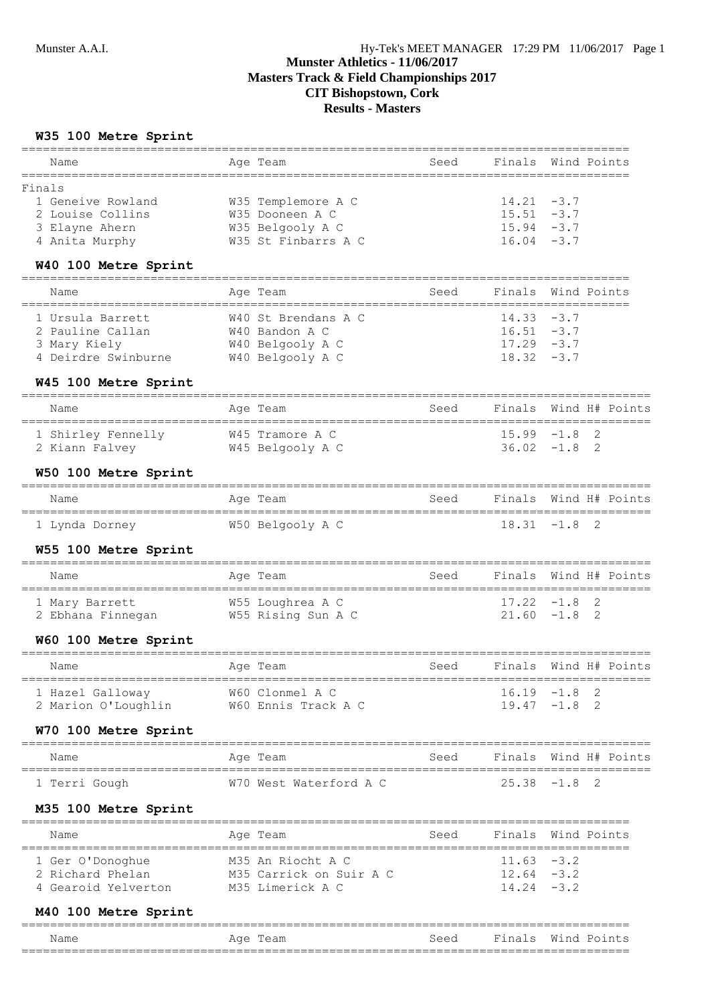**Results - Masters**

### **W35 100 Metre Sprint**

| Name                                                     | Age Team                                       | Seed | Finals                | Wind Points |                |                |
|----------------------------------------------------------|------------------------------------------------|------|-----------------------|-------------|----------------|----------------|
| Finals                                                   |                                                |      |                       |             |                |                |
| 1 Geneive Rowland                                        | W35 Templemore A C                             |      | $14.21 - 3.7$         |             |                |                |
| 2 Louise Collins                                         | W35 Dooneen A C                                |      | $15.51 - 3.7$         |             |                |                |
| 3 Elayne Ahern                                           | W35 Belgooly A C                               |      | $15.94 - 3.7$         |             |                |                |
| 4 Anita Murphy                                           | W35 St Finbarrs A C                            |      | $16.04 - 3.7$         |             |                |                |
| W40 100 Metre Sprint<br>================================ |                                                |      |                       |             |                |                |
| Name                                                     | Age Team                                       | Seed | Finals<br>=========   | Wind Points |                |                |
| 1 Ursula Barrett                                         | W40 St Brendans A C                            |      | $14.33 - 3.7$         |             |                |                |
| 2 Pauline Callan                                         | W40 Bandon A C                                 |      | $16.51 - 3.7$         |             |                |                |
| 3 Mary Kiely                                             | W40 Belgooly A C                               |      | $17.29 - 3.7$         |             |                |                |
| 4 Deirdre Swinburne W40 Belgooly A C                     |                                                |      | $18.32 - 3.7$         |             |                |                |
| W45 100 Metre Sprint                                     |                                                |      |                       |             |                |                |
| Name                                                     | Age Team                                       | Seed | Finals                |             |                | Wind H# Points |
| 1 Shirley Fennelly W45 Tramore A C                       |                                                |      | $15.99 - 1.8$         |             | 2              |                |
| 2 Kiann Falvey                                           | W45 Belgooly A C                               |      | $36.02 -1.8$          |             | 2              |                |
| W50 100 Metre Sprint                                     |                                                |      |                       |             |                |                |
| Name                                                     | Age Team                                       | Seed | Finals                |             |                | Wind H# Points |
| 1 Lynda Dorney                                           | W50 Belgooly A C                               |      | $18.31 - 1.8$         |             | 2              |                |
| W55 100 Metre Sprint                                     | ======================                         |      |                       |             |                |                |
| Name                                                     | Age Team                                       | Seed | Finals                |             |                | Wind H# Points |
| 1 Mary Barrett                                           | W55 Loughrea A C                               |      | $17.22 - 1.8$         |             | 2              |                |
| 2 Ebhana Finnegan M55 Rising Sun A C                     |                                                |      | $21.60 - 1.8$         |             | $\overline{2}$ |                |
| W60 100 Metre Sprint                                     |                                                |      |                       |             |                |                |
| Name                                                     | Age Team                                       | Seed | Finals                |             |                | Wind H# Points |
| 1 Hazel Galloway                                         | W60 Clonmel A C                                |      | $16.19 - 1.8$ 2       |             |                |                |
| 2 Marion O'Loughlin W60 Ennis Track A C                  |                                                |      | $19.47 - 1.8$ 2       |             |                |                |
| W70 100 Metre Sprint                                     | ================                               |      |                       |             |                |                |
| Name<br>=================================                | Age Team<br>---------------------------------- | Seed | Finals Wind H# Points |             |                |                |
| 1 Terri Gough                                            | W70 West Waterford A C                         |      | $25.38 - 1.8$         |             | 2              |                |
| M35 100 Metre Sprint                                     |                                                |      |                       |             |                |                |
| Name                                                     | Age Team                                       | Seed | Finals                | Wind Points |                |                |
| 1 Ger O'Donoghue                                         | M35 An Riocht A C                              |      | $11.63 - 3.2$         |             |                |                |
| 2 Richard Phelan                                         | M35 Carrick on Suir A C                        |      | $12.64 - 3.2$         |             |                |                |
| 4 Gearoid Yelverton                                      | M35 Limerick A C                               |      | $14.24 - 3.2$         |             |                |                |
| M40 100 Metre Sprint                                     |                                                |      |                       |             |                |                |

| Name       | Aae<br>'l'eam | Seed | Fina<br>1 C<br>----- | Wind<br>Points |
|------------|---------------|------|----------------------|----------------|
| __<br>____ |               |      |                      | ___<br>___     |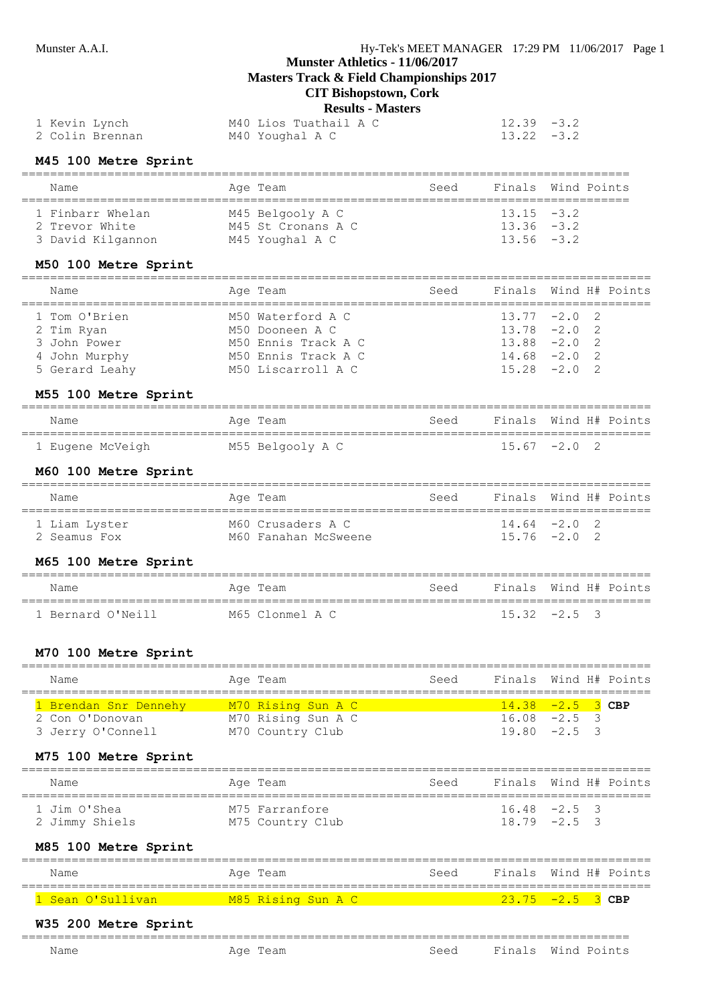**Masters Track & Field Championships 2017**

# **CIT Bishopstown, Cork**

**Results - Masters**

| 1 Kevin Lynch   | M40 Lios Tuathail A C | $12.39 - 3.2$ |
|-----------------|-----------------------|---------------|
| 2 Colin Brennan | M40 Youghal A C       | $13.22 - 3.2$ |

# **M45 100 Metre Sprint**

| Name                                                    | Age Team                                                  | Seed |                                                 | Finals Wind Points |
|---------------------------------------------------------|-----------------------------------------------------------|------|-------------------------------------------------|--------------------|
| 1 Finbarr Whelan<br>2 Trevor White<br>3 David Kilgannon | M45 Belgooly A C<br>M45 St Cronans A C<br>M45 Youghal A C |      | $13.15 - 3.2$<br>$13.36 - 3.2$<br>$13.56 - 3.2$ |                    |

### **M50 100 Metre Sprint**

| Name           | Age Team            | Seed | Finals Wind H# Points |  |  |
|----------------|---------------------|------|-----------------------|--|--|
| 1 Tom O'Brien  | M50 Waterford A C   |      | $13.77 -2.0$ 2        |  |  |
| 2 Tim Ryan     | M50 Dooneen A C     |      | $13.78 - 2.0$ 2       |  |  |
| 3 John Power   | M50 Ennis Track A C |      | $13.88 - 2.0$ 2       |  |  |
| 4 John Murphy  | M50 Ennis Track A C |      | $14.68 - 2.0$ 2       |  |  |
| 5 Gerard Leahy | M50 Liscarroll A C  |      | $15.28 -2.0 2$        |  |  |

#### **M55 100 Metre Sprint**

| Name             | Age Team         | Seed | Finals Wind H# Points |  |
|------------------|------------------|------|-----------------------|--|
| 1 Eugene McVeigh | M55 Belgooly A C |      | $15.67 -2.0$ 2        |  |

#### **M60 100 Metre Sprint**

| Name          | Age Team             | Seed | Finals Wind H# Points |  |  |
|---------------|----------------------|------|-----------------------|--|--|
| 1 Liam Lyster | M60 Crusaders A C    |      | $14.64 - 2.0$ 2       |  |  |
| 2 Seamus Fox  | M60 Fanahan McSweene |      | $15.76 -2.0$ 2        |  |  |

#### **M65 100 Metre Sprint**

| Name              | Age Team        | Seed | Finals Wind H# Points |                |  |
|-------------------|-----------------|------|-----------------------|----------------|--|
| 1 Bernard O'Neill | M65 Clonmel A C |      |                       | $15.32 -2.5$ 3 |  |

### **M70 100 Metre Sprint**

| Name                                                          | Age Team                                                     | Seed |                                                           | Finals Wind H# Points |
|---------------------------------------------------------------|--------------------------------------------------------------|------|-----------------------------------------------------------|-----------------------|
| 1 Brendan Snr Dennehy<br>2 Con O'Donovan<br>3 Jerry O'Connell | M70 Rising Sun A C<br>M70 Rising Sun A C<br>M70 Country Club |      | $14.38 - 2.5$ 3 CBP<br>$16.08 - 2.5$ 3<br>$19.80 - 2.5$ 3 |                       |
| M75 100 Metre Sprint                                          |                                                              |      |                                                           |                       |
| Name                                                          | Age Team                                                     | Seed |                                                           | Finals Wind H# Points |

| name                           | AYE IEAM                           | DEEU LIHAIS WIHUH IIT LUIHUS |                                   |  |
|--------------------------------|------------------------------------|------------------------------|-----------------------------------|--|
| 1 Jim O'Shea<br>2 Jimmy Shiels | M75 Farranfore<br>M75 Country Club |                              | $16.48 -2.5$ 3<br>$18.79 - 2.5$ 3 |  |

#### **M85 100 Metre Sprint**

| Name                           | Age Team           | Seed | Finals Wind H# Points     |
|--------------------------------|--------------------|------|---------------------------|
| <mark>. Sean O'Sullivan</mark> | M85 Rising Sun A C |      | $\sqrt{23.75}$ -2.5 3 CBP |

# **W35 200 Metre Sprint**

| __<br>____ | --<br>_____________                                              | _________________<br>____   |         |       |
|------------|------------------------------------------------------------------|-----------------------------|---------|-------|
| Name       | -<br>$\sim$<br>∼<br>$\sim$<br>المحمد المساحين المراجعة والمتناور | $S \cap \cap \cap$<br>- - - | _______ | $- -$ |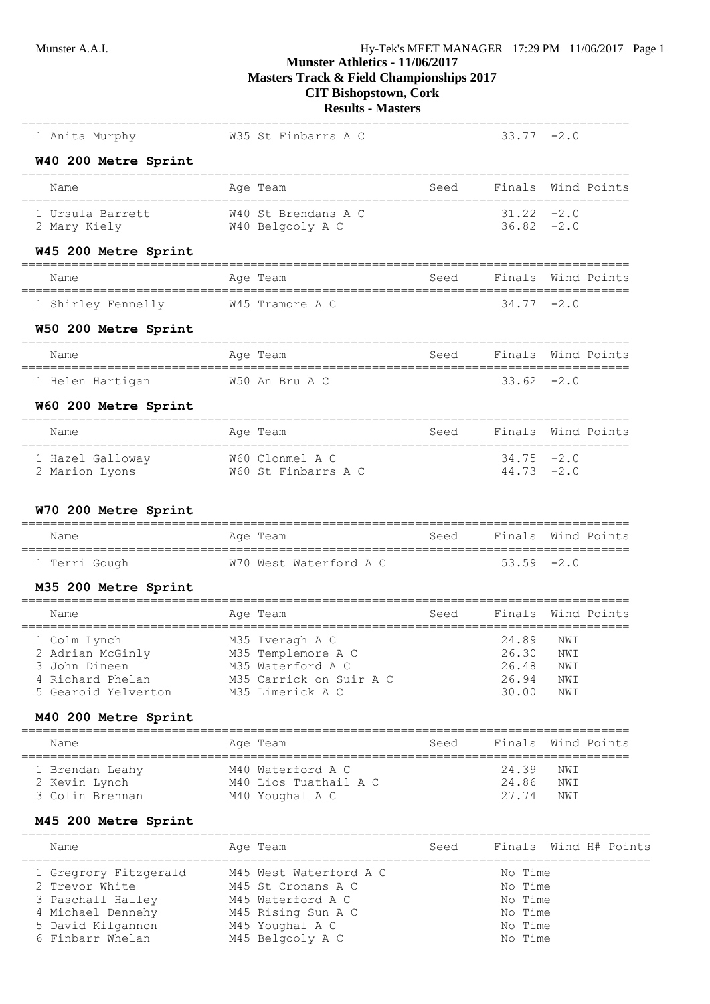**W40 200 Metre Sprint**

# **Munster Athletics - 11/06/2017**

**Masters Track & Field Championships 2017**

# **CIT Bishopstown, Cork**

# **Results - Masters** =====================================================================================

1 Anita Murphy M35 St Finbarrs A C

| Name                                          | Age Team                                | Seed<br>==================================== | Finals Wind Points             |            |                       |
|-----------------------------------------------|-----------------------------------------|----------------------------------------------|--------------------------------|------------|-----------------------|
| 1 Ursula Barrett<br>2 Mary Kiely              | W40 St Brendans A C<br>W40 Belgooly A C |                                              | $31.22 - 2.0$<br>$36.82 - 2.0$ |            |                       |
| W45 200 Metre Sprint                          |                                         |                                              |                                |            |                       |
| Name                                          | Age Team                                | Seed                                         | Finals Wind Points             |            |                       |
| 1 Shirley Fennelly                            | W45 Tramore A C                         |                                              | $34.77 - 2.0$                  |            |                       |
| W50 200 Metre Sprint                          |                                         |                                              |                                |            |                       |
| Name                                          | Age Team                                | Seed                                         | Finals Wind Points             |            |                       |
| 1 Helen Hartigan                              | W50 An Bru A C                          |                                              | $33.62 - 2.0$                  |            |                       |
| W60 200 Metre Sprint                          |                                         |                                              |                                |            |                       |
| Name<br>===================================== | Age Team                                |                                              | Seed Finals Wind Points        |            |                       |
| 1 Hazel Galloway<br>2 Marion Lyons            | W60 Clonmel A C<br>W60 St Finbarrs A C  |                                              | $34.75 -2.0$<br>$44.73 - 2.0$  |            |                       |
|                                               |                                         |                                              |                                |            |                       |
| W70 200 Metre Sprint                          |                                         |                                              |                                |            |                       |
| Name                                          | Age Team                                | Seed                                         | Finals                         |            | Wind Points           |
| 1 Terri Gough                                 | W70 West Waterford A C                  |                                              | $53.59 - 2.0$                  |            |                       |
| M35 200 Metre Sprint                          |                                         |                                              |                                |            |                       |
| Name                                          | Age Team                                | Seed                                         | Finals                         |            | Wind Points           |
| 1 Colm Lynch<br>2 Adrian McGinly              | M35 Iveragh A C<br>M35 Templemore A C   |                                              | 24.89<br>26.30                 | NWI<br>NWI |                       |
| 3 John Dineen                                 | M35 Waterford A C                       |                                              | 26.48                          | NWI        |                       |
| 4 Richard Phelan                              | M35 Carrick on Suir A C                 |                                              | 26.94                          | NWI        |                       |
| 5 Gearoid Yelverton                           | M35 Limerick A C                        |                                              | 30.00                          | NWI        |                       |
| M40 200 Metre Sprint                          |                                         |                                              |                                |            |                       |
| Name                                          | Age Team                                | Seed                                         | Finals Wind Points             |            |                       |
| 1 Brendan Leahy                               | M40 Waterford A C                       |                                              | 24.39                          | NWI        |                       |
| 2 Kevin Lynch                                 | M40 Lios Tuathail A C                   |                                              | 24.86                          | NWI        |                       |
| 3 Colin Brennan                               | M40 Youghal A C                         |                                              | 27.74                          | NWI        |                       |
| M45 200 Metre Sprint                          |                                         |                                              |                                |            |                       |
| Name                                          | Age Team                                | Seed                                         |                                |            | Finals Wind H# Points |
| 1 Gregrory Fitzgerald                         | M45 West Waterford A C                  |                                              | No Time                        |            |                       |
| 2 Trevor White                                | M45 St Cronans A C                      |                                              | No Time                        |            |                       |
| 3 Paschall Halley                             | M45 Waterford A C                       |                                              | No Time                        |            |                       |
| 4 Michael Dennehy                             | M45 Rising Sun A C                      |                                              | No Time                        |            |                       |
| 5 David Kilgannon                             | M45 Youghal A C                         |                                              | No Time                        |            |                       |
| 6 Finbarr Whelan                              | M45 Belgooly A C                        |                                              | No Time                        |            |                       |
|                                               |                                         |                                              |                                |            |                       |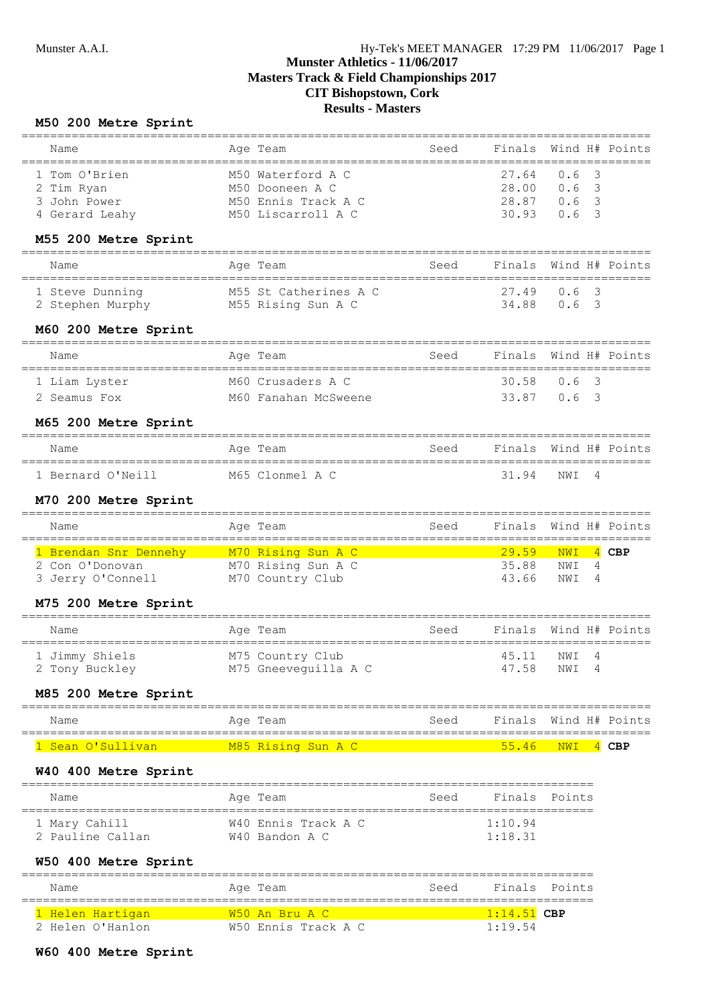#### **M50 200 Metre Sprint**

| Name                                                                                  | Age Team                                                                          | Seed | Finals Wind H# Points                                |                    |  |
|---------------------------------------------------------------------------------------|-----------------------------------------------------------------------------------|------|------------------------------------------------------|--------------------|--|
| 1 Tom O'Brien<br>2 Tim Ryan<br>3 John Power<br>4 Gerard Leahy<br>M55 200 Metre Sprint | M50 Waterford A C<br>M50 Dooneen A C<br>M50 Ennis Track A C<br>M50 Liscarroll A C |      | 27.64<br>$28.00 \t 0.6 \t 3$<br>28.87 0.6 3<br>30.93 | $0.6-3$<br>$0.6-3$ |  |
| Name                                                                                  | Age Team                                                                          | Seed | Finals Wind H# Points                                |                    |  |
| 1 Steve Dunning<br>2 Stephen Murphy                                                   | M55 St Catherines A C<br>M55 Rising Sun A C                                       |      | 27.49<br>34.88 0.6 3                                 | $0.6-3$            |  |
| M60 200 Metre Sprint                                                                  |                                                                                   |      |                                                      |                    |  |

| Name          | Age Team             | Seed | Finals Wind H# Points |  |  |
|---------------|----------------------|------|-----------------------|--|--|
| 1 Liam Lyster | M60 Crusaders A C    |      | 30.58 0.6 3           |  |  |
| 2 Seamus Fox  | M60 Fanahan McSweene |      | 33.87 0.6 3           |  |  |

#### **M65 200 Metre Sprint**

| Name              | Age Team        | Seed | Finals Wind H# Points |             |  |
|-------------------|-----------------|------|-----------------------|-------------|--|
| 1 Bernard O'Neill | M65 Clonmel A C |      |                       | 31.94 NWT 4 |  |

#### **M70 200 Metre Sprint**

| Name                                 | Age Team                               | Seed | Finals Wind H# Points |                |  |
|--------------------------------------|----------------------------------------|------|-----------------------|----------------|--|
| 1 Brendan Snr Dennehy                | M70 Rising Sun A C/                    |      | $29.59$ NWI 4 CBP     |                |  |
| 2 Con O'Donovan<br>3 Jerry O'Connell | M70 Rising Sun A C<br>M70 Country Club |      | 35.88<br>43 66        | NWI 4<br>NWT 4 |  |

#### **M75 200 Metre Sprint**

| Name                             | Age Team                                 | Seed | Finals Wind H# Points |                |  |
|----------------------------------|------------------------------------------|------|-----------------------|----------------|--|
| 1 Jimmy Shiels<br>2 Tony Buckley | M75 Country Club<br>M75 Gneeveguilla A C |      | 45.11<br>47.58        | NWT 4<br>NWI 4 |  |

#### **M85 200 Metre Sprint**

| Name              | Age Team           | Seed | Finals Wind H# Points    |  |  |
|-------------------|--------------------|------|--------------------------|--|--|
| l Sean O'Sullivan | M85 Rising Sun A C |      | $\sqrt{55.46}$ NWI 4 CBP |  |  |

#### **W40 400 Metre Sprint**

| Name                              | Age Team                              | Seed | Finals Points      |  |
|-----------------------------------|---------------------------------------|------|--------------------|--|
| 1 Mary Cahill<br>2 Pauline Callan | W40 Ennis Track A C<br>W40 Bandon A C |      | 1:10.94<br>1:18.31 |  |

### **W50 400 Metre Sprint**

| Name             | Age Team               | Seed |               | Finals Points |
|------------------|------------------------|------|---------------|---------------|
| 1 Helen Hartigan | <u> W50 An Bru A C</u> |      | $1:14.51$ CBP |               |
| 2 Helen O'Hanlon | W50 Ennis Track A C    |      | 1:19.54       |               |

#### **W60 400 Metre Sprint**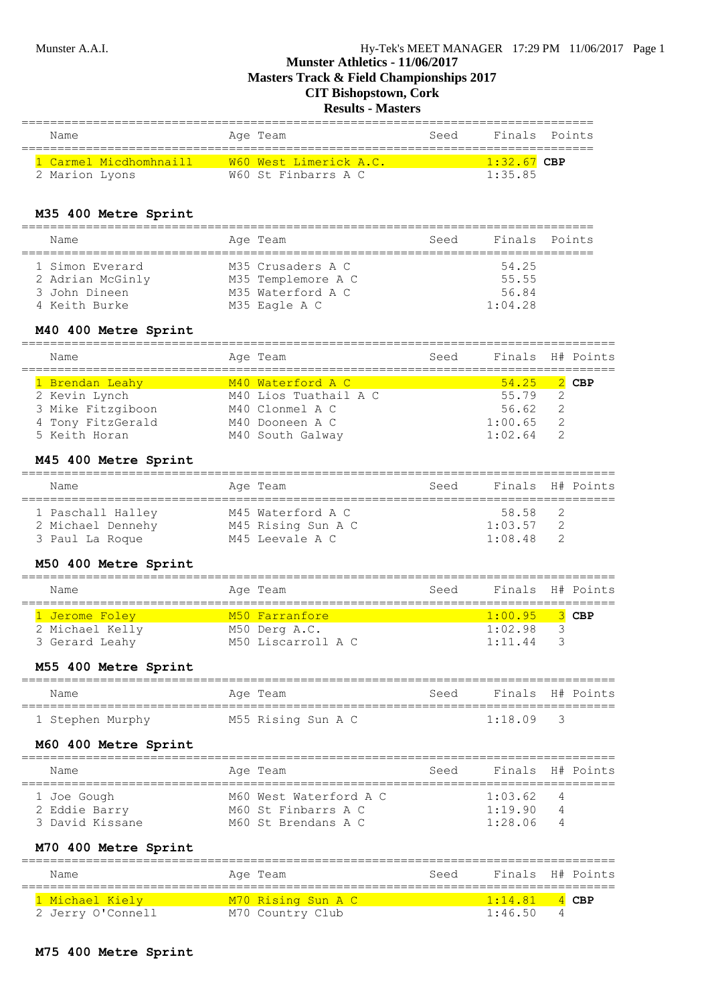**Masters Track & Field Championships 2017**

# **CIT Bishopstown, Cork**

### **Results - Masters**

| Name                   | Age Team               | Seed | Finals Points |  |
|------------------------|------------------------|------|---------------|--|
| 1 Carmel Micdhomhnaill | W60 West Limerick A.C. |      | $1:32.67$ CBP |  |
| 2 Marion Lyons         | W60 St Finbarrs A C    |      | 1:35.85       |  |

#### **M35 400 Metre Sprint**

| Name                                                 | Age Team                                                     | Seed | Finals Points           |  |
|------------------------------------------------------|--------------------------------------------------------------|------|-------------------------|--|
| 1 Simon Everard<br>2 Adrian McGinly<br>3 John Dineen | M35 Crusaders A C<br>M35 Templemore A C<br>M35 Waterford A C |      | 54.25<br>55.55<br>56.84 |  |
| 4 Keith Burke                                        | M35 Eagle A C                                                |      | 1:04.28                 |  |

#### **M40 400 Metre Sprint**

| Name                                                                       | Age Team                                                                         | Seed | Finals H# Points                           |                |  |
|----------------------------------------------------------------------------|----------------------------------------------------------------------------------|------|--------------------------------------------|----------------|--|
| 1 Brendan Leahy<br>2 Kevin Lynch<br>3 Mike Fitzgiboon<br>4 Tony FitzGerald | M40 Waterford A C<br>M40 Lios Tuathail A C<br>M40 Clonmel A C<br>M40 Dooneen A C |      | $54.25$ 2 CBP<br>55.79<br>56.62<br>1:00.65 | $\overline{2}$ |  |
| 5 Keith Horan                                                              | M40 South Galway                                                                 |      | 1:02.64                                    |                |  |

#### **M45 400 Metre Sprint**

| Name              | Age Team           | Seed |         | Finals H# Points |
|-------------------|--------------------|------|---------|------------------|
| 1 Paschall Halley | M45 Waterford A C  |      | 58.58   |                  |
| 2 Michael Dennehy | M45 Rising Sun A C |      | 1:03.57 | -2               |
| 3 Paul La Roque   | M45 Leevale A C    |      | 1:08.48 |                  |

#### **M50 400 Metre Sprint**

| Name                              | Age Team                            | Seed | Finals H# Points   |  |
|-----------------------------------|-------------------------------------|------|--------------------|--|
| 1 Jerome Foley                    | M50 Farranfore                      |      | $1:00.95$ 3 CBP    |  |
| 2 Michael Kelly<br>3 Gerard Leahy | M50 Derg A.C.<br>M50 Liscarroll A C |      | 1:02.98<br>1:11.44 |  |

#### **M55 400 Metre Sprint**

| Name             | Age Team           | Seed | Finals H# Points |  |
|------------------|--------------------|------|------------------|--|
| 1 Stephen Murphy | M55 Rising Sun A C |      | $1:18.09$ 3      |  |

#### **M60 400 Metre Sprint**

| Name                             | Age Team                                   | Seed | Finals H# Points   |        |  |
|----------------------------------|--------------------------------------------|------|--------------------|--------|--|
| 1 Joe Gough                      | M60 West Waterford A C                     |      | 1:03.62            | 4      |  |
| 2 Eddie Barry<br>3 David Kissane | M60 St Finbarrs A C<br>M60 St Brendans A C |      | 1:19.90<br>1:28.06 | 4<br>4 |  |
|                                  |                                            |      |                    |        |  |

#### **M70 400 Metre Sprint**

| Name              | Age Team                  | Seed | Finals H# Points |                 |
|-------------------|---------------------------|------|------------------|-----------------|
| 1 Michael Kiely   | <u>M70 Rising Sun A C</u> |      | 1:14.81          | $\triangle$ CBP |
| 2 Jerry O'Connell | M70 Country Club          |      | 1:46.50          |                 |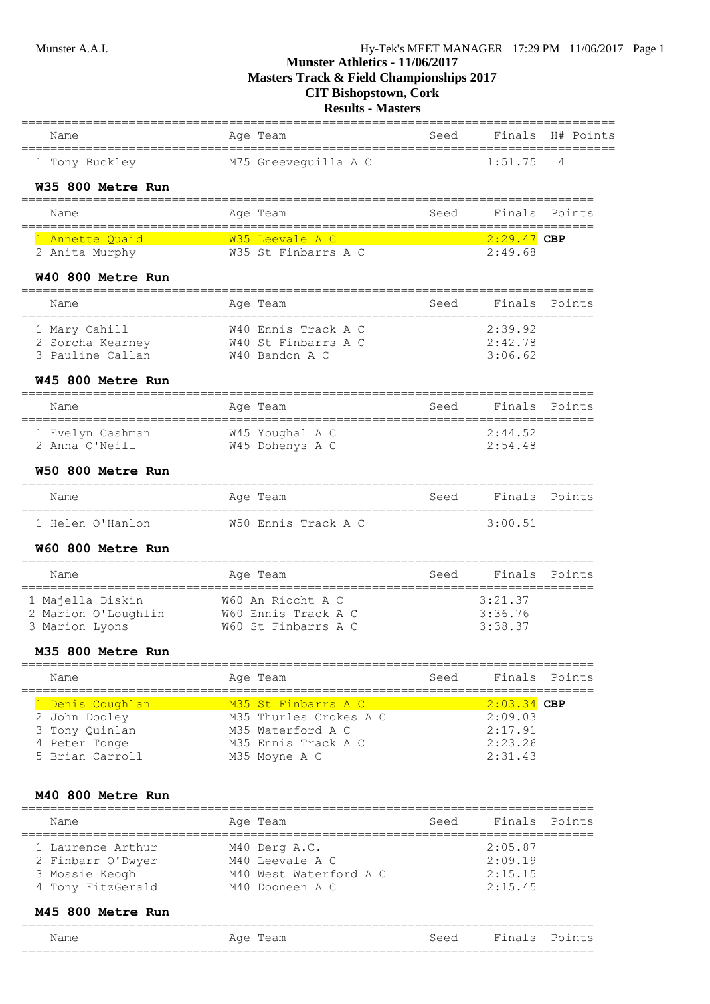**Masters Track & Field Championships 2017**

# **CIT Bishopstown, Cork**

**Results - Masters**

|                                           | - Iviasiefs                                                    |                         |                    |                  |
|-------------------------------------------|----------------------------------------------------------------|-------------------------|--------------------|------------------|
| Name                                      | Age Team                                                       | Seed                    |                    | Finals H# Points |
| 1 Tony Buckley                            | M75 Gneevequilla A C                                           |                         | 1:51.75            | 4                |
| W35 800 Metre Run                         |                                                                |                         |                    |                  |
| Name                                      | Age Team                                                       | Seed                    | Finals             | Points           |
| 1 Annette Quaid                           | W35 Leevale A C                                                |                         | <u>2:29.47</u> CBP |                  |
| 2 Anita Murphy                            | W35 St Finbarrs A C                                            |                         | 2:49.68            |                  |
| W40 800 Metre Run                         |                                                                | ======================= |                    |                  |
| Name<br>================================= | Age Team<br>-------------------------------------              | Seed                    | Finals             | Points           |
| 1 Mary Cahill                             | W40 Ennis Track A C                                            |                         | 2:39.92            |                  |
| 2 Sorcha Kearney<br>3 Pauline Callan      | W40 St Finbarrs A C<br>W40 Bandon A C                          |                         | 2:42.78<br>3:06.62 |                  |
| W45 800 Metre Run                         |                                                                |                         |                    |                  |
| Name                                      | Age Team                                                       | Seed                    | Finals             | Points           |
| 1 Evelyn Cashman                          | W45 Youghal A C                                                |                         | 2:44.52            |                  |
| 2 Anna O'Neill                            | W45 Dohenys A C                                                |                         | 2:54.48            |                  |
| W50 800 Metre Run                         |                                                                |                         |                    |                  |
| Name                                      | Age Team                                                       | Seed                    | Finals             | Points           |
| 1 Helen O'Hanlon                          | W50 Ennis Track A C                                            |                         | 3:00.51            |                  |
| W60 800 Metre Run                         |                                                                |                         |                    |                  |
| Name                                      | Age Team                                                       | Seed                    | Finals             | Points           |
| 1 Majella Diskin                          | W60 An Riocht A C                                              |                         | 3:21.37            |                  |
| 3 Marion Lyons                            | 2 Marion O'Loughlin W60 Ennis Track A C<br>W60 St Finbarrs A C |                         | 3:36.76<br>3:38.37 |                  |
| M35 800 Metre Run                         |                                                                |                         |                    |                  |
| Name                                      | Age Team                                                       | Seed                    | Finals             | Points           |
| 1 Denis Coughlan                          | M35 St Finbarrs A C                                            |                         | $2:03.34$ CBP      |                  |
| 2 John Dooley                             | M35 Thurles Crokes A C                                         |                         | 2:09.03            |                  |
| 3 Tony Quinlan<br>4 Peter Tonge           | M35 Waterford A C<br>M35 Ennis Track A C                       |                         | 2:17.91<br>2:23.26 |                  |
| 5 Brian Carroll                           | M35 Moyne A C                                                  |                         | 2:31.43            |                  |
| M40 800 Metre Run                         |                                                                |                         |                    |                  |
| Name                                      | Aqe Team                                                       | Seed                    | Finals             | Points           |
| 1 Laurence Arthur                         | M40 Derg A.C.                                                  |                         | 2:05.87            |                  |
| 2 Finbarr O'Dwyer                         | M40 Leevale A C                                                |                         | 2:09.19            |                  |
| 3 Mossie Keogh<br>4 Tony FitzGerald       | M40 West Waterford A C<br>M40 Dooneen A C                      |                         | 2:15.15<br>2:15.45 |                  |
|                                           |                                                                |                         |                    |                  |

#### **M45 800 Metre Run**

| Name                     | $\tilde{}$ | : 00 | na<br>$\epsilon$ | $D_{\mathcal{L}}$ |  |
|--------------------------|------------|------|------------------|-------------------|--|
| ___<br>___<br>__________ |            |      |                  |                   |  |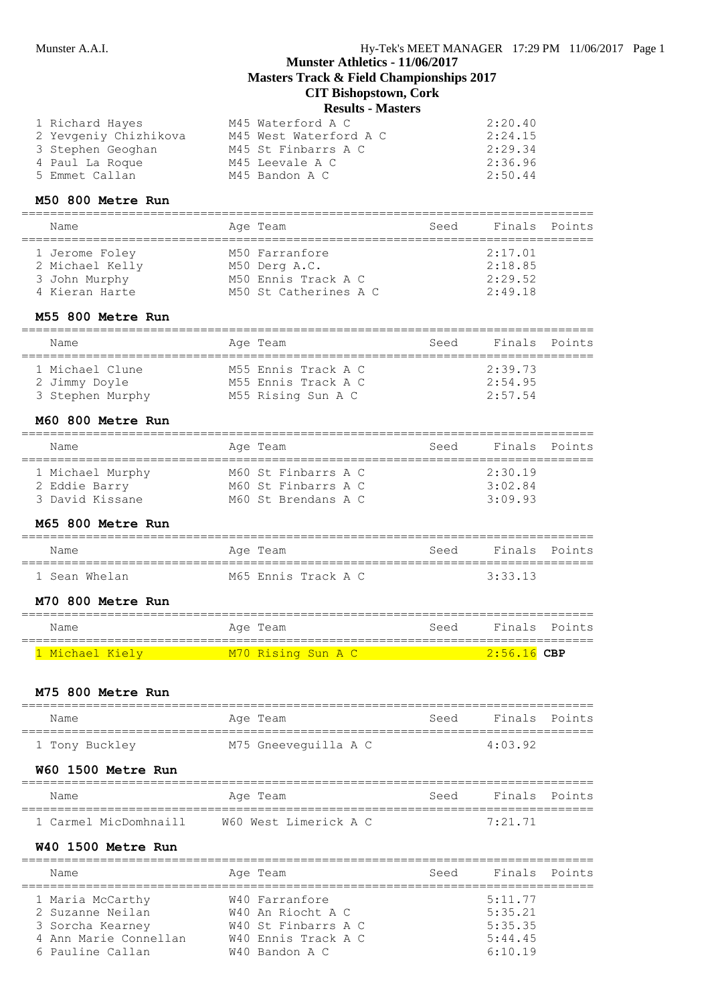# **Results - Masters**

| 1 Richard Hayes       | M45 Waterford A C      | 2:20.40 |
|-----------------------|------------------------|---------|
| 2 Yevgeniy Chizhikova | M45 West Waterford A C | 2:24.15 |
| 3 Stephen Geoghan     | M45 St Finbarrs A C    | 2:29.34 |
| 4 Paul La Roque       | M45 Leevale A C        | 2:36.96 |
| 5 Emmet Callan        | M45 Bandon A C         | 2:50.44 |

#### **M50 800 Metre Run**

| Name                                                                 | Age Team                                                                        | Seed | Finals Points                            |  |
|----------------------------------------------------------------------|---------------------------------------------------------------------------------|------|------------------------------------------|--|
| 1 Jerome Foley<br>2 Michael Kelly<br>3 John Murphy<br>4 Kieran Harte | M50 Farranfore<br>M50 Derg A.C.<br>M50 Ennis Track A C<br>M50 St Catherines A C |      | 2:17.01<br>2:18.85<br>2:29.52<br>2:49.18 |  |

#### **M55 800 Metre Run**

| Name                              | Age Team                                  | Seed | Finals Points      |  |
|-----------------------------------|-------------------------------------------|------|--------------------|--|
| 1 Michael Clune                   | M55 Ennis Track A C                       |      | 2:39.73            |  |
| 2 Jimmy Doyle<br>3 Stephen Murphy | M55 Ennis Track A C<br>M55 Rising Sun A C |      | 2:54.95<br>2:57.54 |  |

#### **M60 800 Metre Run**

| Name                                                 | Age Team                                                          | Seed | Finals Points                 |  |
|------------------------------------------------------|-------------------------------------------------------------------|------|-------------------------------|--|
| 1 Michael Murphy<br>2 Eddie Barry<br>3 David Kissane | M60 St Finbarrs A C<br>M60 St Finbarrs A C<br>M60 St Brendans A C |      | 2:30.19<br>3:02.84<br>3:09.93 |  |

#### **M65 800 Metre Run**

| Name          | Age Team            | Seed | Finals Points |  |
|---------------|---------------------|------|---------------|--|
| 1 Sean Whelan | M65 Ennis Track A C |      | 3:33.13       |  |

#### **M70 800 Metre Run**

| Name            | Age Team           | Seed | Finals Points |  |
|-----------------|--------------------|------|---------------|--|
| 1 Michael Kiely | M70 Rising Sun A C |      | $2:56.16$ CBP |  |

#### **M75 800 Metre Run**

| Name           | Aqe Team             | Seed | Finals Points   |  |
|----------------|----------------------|------|-----------------|--|
| 1 Tony Buckley | M75 Gneevequilla A C |      | $4 \cdot 03$ 92 |  |

#### **W60 1500 Metre Run**

| Name                  | Age Team              | Seed | Finals Points   |  |
|-----------------------|-----------------------|------|-----------------|--|
| 1 Carmel MicDomhnaill | W60 West Limerick A C |      | $7 \cdot 21$ 71 |  |

# **W40 1500 Metre Run**

| Name                  | Age Team            | Seed | Finals Points |  |
|-----------------------|---------------------|------|---------------|--|
| 1 Maria McCarthy      | W40 Farranfore      |      | 5:11.77       |  |
| 2 Suzanne Neilan      | W40 An Riocht A C   |      | 5:35.21       |  |
| 3 Sorcha Kearney      | W40 St Finbarrs A C |      | 5:35.35       |  |
| 4 Ann Marie Connellan | W40 Ennis Track A C |      | 5:44.45       |  |
| 6 Pauline Callan      | $W40$ Bandon A C    |      | 6:10.19       |  |
|                       |                     |      |               |  |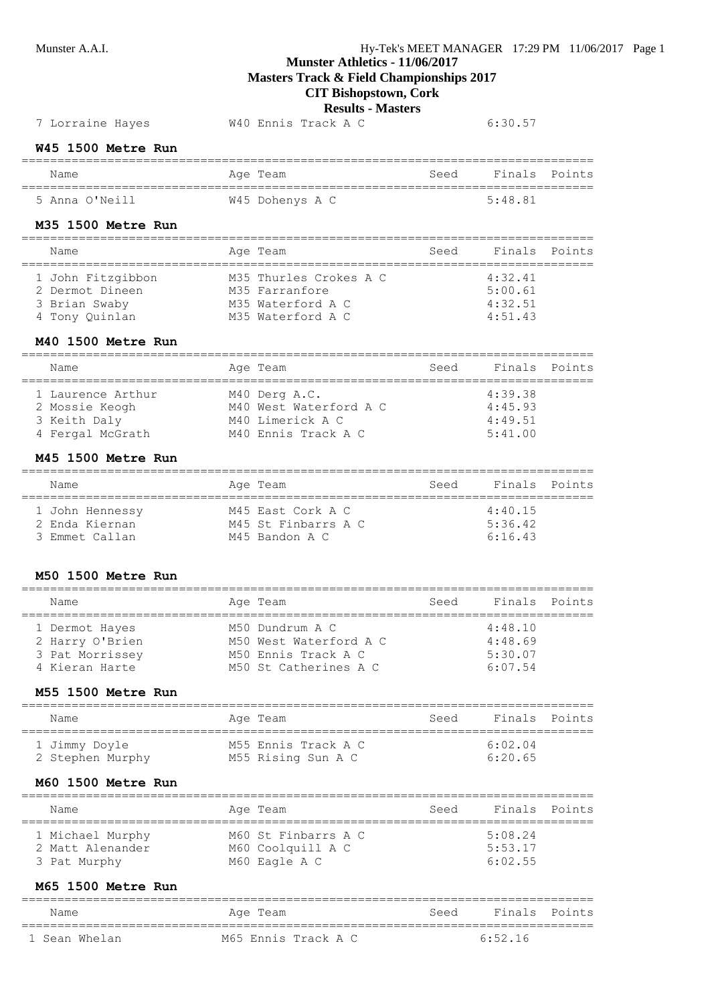### Munster A.A.I. Hy-Tek's MEET MANAGER 17:29 PM 11/06/2017 Page 1

# **Munster Athletics - 11/06/2017**

**Masters Track & Field Championships 2017**

# **CIT Bishopstown, Cork**

#### **Results - Masters**

### 7 Lorraine Hayes W40 Ennis Track A C 6:30.57

#### **W45 1500 Metre Run**

| Name           | Age Team        | Seed | Finals Points |  |
|----------------|-----------------|------|---------------|--|
| 5 Anna O'Neill | W45 Dohenys A C |      | 5.48.81       |  |

#### **M35 1500 Metre Run**

| Name              | Age Team               | Seed | Finals Points |  |
|-------------------|------------------------|------|---------------|--|
| 1 John Fitzgibbon | M35 Thurles Crokes A C |      | 4:32.41       |  |
| 2 Dermot Dineen   | M35 Farranfore         |      | 5:00.61       |  |
| 3 Brian Swaby     | M35 Waterford A C      |      | 4:32.51       |  |
| 4 Tony Ouinlan    | M35 Waterford A C      |      | 4:51.43       |  |

#### **M40 1500 Metre Run**

| Name              | Age Team               | Seed | Finals Points |  |
|-------------------|------------------------|------|---------------|--|
| 1 Laurence Arthur | M40 Derg A.C.          |      | 4:39.38       |  |
| 2 Mossie Keogh    | M40 West Waterford A C |      | 4:45.93       |  |
| 3 Keith Daly      | M40 Limerick A C       |      | 4:49.51       |  |
| 4 Fergal McGrath  | M40 Ennis Track A C    |      | 5:41.00       |  |

#### **M45 1500 Metre Run**

| Name                                                | Age Team                                                   | Seed | Finals Points                 |  |
|-----------------------------------------------------|------------------------------------------------------------|------|-------------------------------|--|
| 1 John Hennessy<br>2 Enda Kiernan<br>3 Emmet Callan | M45 East Cork A C<br>M45 St Finbarrs A C<br>M45 Bandon A C |      | 4:40.15<br>5:36.42<br>6:16.43 |  |

#### **M50 1500 Metre Run**

| Name            | Age Team               | Seed | Finals Points |  |
|-----------------|------------------------|------|---------------|--|
| 1 Dermot Hayes  | M50 Dundrum A C        |      | 4:48.10       |  |
| 2 Harry O'Brien | M50 West Waterford A C |      | 4:48.69       |  |
| 3 Pat Morrissey | M50 Ennis Track A C    |      | 5:30.07       |  |
| 4 Kieran Harte  | M50 St Catherines A C  |      | 6:07.54       |  |
|                 |                        |      |               |  |

================================================================================

#### **M55 1500 Metre Run**

| Name                              | Age Team                                  | Seed | Finals Points      |  |
|-----------------------------------|-------------------------------------------|------|--------------------|--|
| 1 Jimmy Doyle<br>2 Stephen Murphy | M55 Ennis Track A C<br>M55 Rising Sun A C |      | 6:02.04<br>6:20.65 |  |

#### **M60 1500 Metre Run**

| Name                                                 | Age Team                                                  | Seed | Finals Points                 |  |
|------------------------------------------------------|-----------------------------------------------------------|------|-------------------------------|--|
| 1 Michael Murphy<br>2 Matt Alenander<br>3 Pat Murphy | M60 St Finbarrs A C<br>M60 Coolquill A C<br>M60 Eagle A C |      | 5:08.24<br>5:53.17<br>6:02.55 |  |

#### **M65 1500 Metre Run**

| Name          | Age Team            | Seed | Finals Points |  |
|---------------|---------------------|------|---------------|--|
| 1 Sean Whelan | M65 Ennis Track A C |      | $6.52$ 16     |  |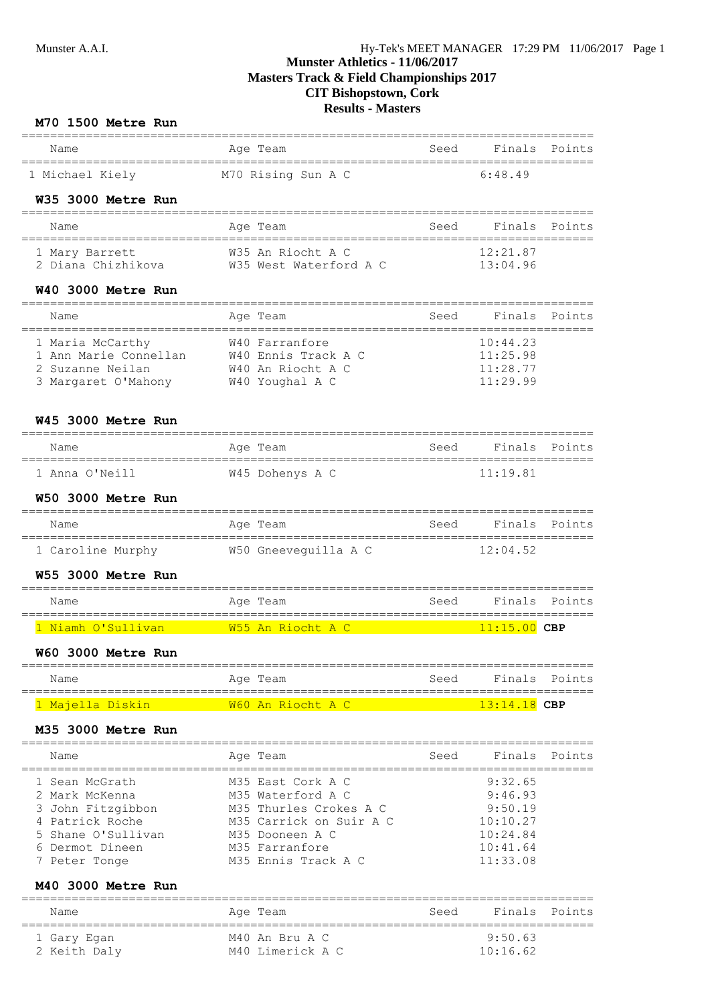| Name                                                          | Age Team                                    | Seed                     | Finals Points                       |               |
|---------------------------------------------------------------|---------------------------------------------|--------------------------|-------------------------------------|---------------|
|                                                               |                                             |                          | 6:48.49                             |               |
| 1 Michael Kiely M70 Rising Sun A C                            |                                             |                          |                                     |               |
| W35 3000 Metre Run                                            |                                             |                          |                                     |               |
| Name                                                          | Age Team                                    | Seed                     | Finals                              | Points        |
|                                                               |                                             |                          | 12:21.87<br>13:04.96                |               |
| W40 3000 Metre Run                                            |                                             |                          |                                     |               |
| Name                                                          | Age Team                                    | Seed                     | Finals                              | Points        |
| 1 Maria McCarthy                                              | W40 Farranfore                              |                          | 10:44.23                            |               |
| 1 Ann Marie Connellan W40 Ennis Track A C<br>2 Suzanne Neilan |                                             |                          | 11:25.98<br>11:28.77                |               |
| 3 Margaret O'Mahony W40 Youghal A C                           | W40 An Riocht A C                           |                          | 11:29.99                            |               |
| W45 3000 Metre Run                                            |                                             |                          |                                     |               |
| Name                                                          | Age Team                                    | Seed                     | Finals                              | Points        |
| 1 Anna O'Neill                                                | W45 Dohenys A C                             |                          | =======================<br>11:19.81 |               |
| W50 3000 Metre Run                                            |                                             |                          |                                     |               |
| Name                                                          | Age Team                                    |                          | Seed Finals Points                  |               |
|                                                               | 1 Caroline Murphy M50 Gneeveguilla A C      |                          | 12:04.52                            |               |
| W55 3000 Metre Run                                            |                                             |                          |                                     |               |
| Name                                                          | Age Team                                    | Seed                     |                                     | Finals Points |
|                                                               |                                             |                          | $11:15.00$ CBP                      |               |
| W60 3000 Metre Rur                                            |                                             |                          |                                     |               |
| Name<br>===============                                       | Age Team                                    | Seed<br>;=============== | Finals                              | Points        |
| 1 Majella Diskin                                              | W60 An Riocht A C                           |                          | $13:14.18$ CBP                      |               |
| M35 3000 Metre Run                                            |                                             |                          |                                     |               |
| Name                                                          | Age Team                                    | Seed                     | Finals                              | Points        |
| 1 Sean McGrath                                                | M35 East Cork A C                           |                          | 9:32.65                             |               |
| 2 Mark McKenna<br>3 John Fitzgibbon                           | M35 Waterford A C<br>M35 Thurles Crokes A C |                          | 9:46.93<br>9:50.19                  |               |
| 4 Patrick Roche                                               | M35 Carrick on Suir A C                     |                          | 10:10.27                            |               |
| Shane O'Sullivan                                              | M35 Dooneen A C                             |                          | 10:24.84                            |               |
| Dermot Dineen                                                 | M35 Farranfore                              |                          | 10:41.64                            |               |
| 7 Peter Tonge<br>M40 3000 Metre Run                           | M35 Ennis Track A C                         |                          | 11:33.08                            |               |
| Name                                                          | Age Team                                    | Seed                     | Finals                              | Points        |
|                                                               | ;========================                   |                          | 9:50.63                             |               |
| 1 Gary Egan<br>$2$ $K_0 + h$ $D_0$ ,                          | M40 An Bru A C<br>$MAO$ I imprick $R$ $C$   |                          | 10.1662                             |               |

2 Keith Daly M40 Limerick A C 10:16.62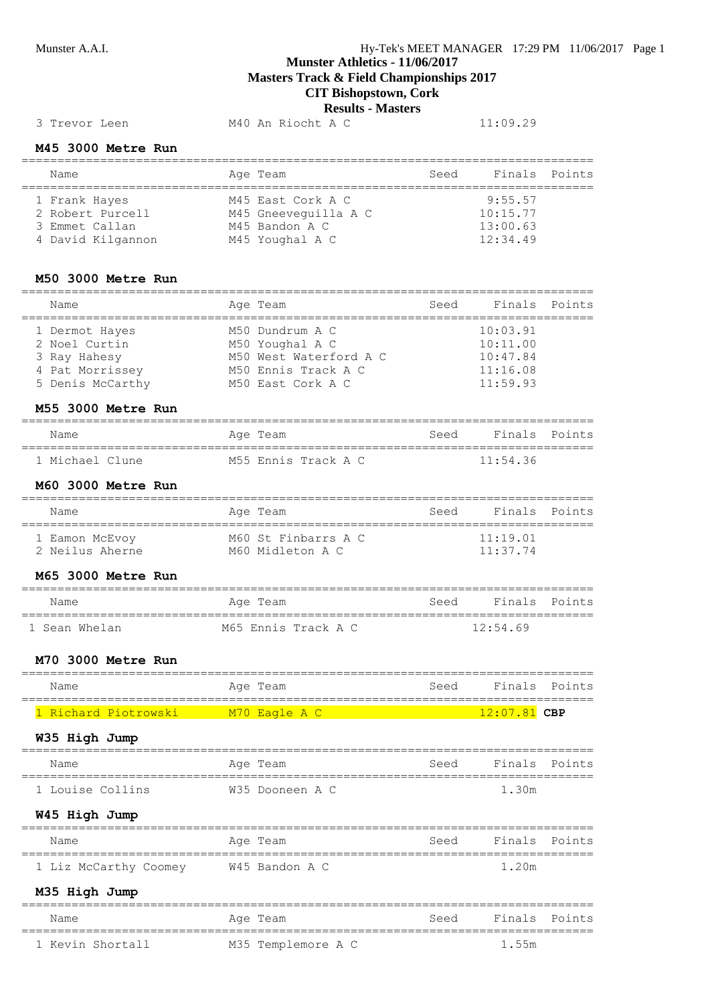**Masters Track & Field Championships 2017**

**CIT Bishopstown, Cork**

#### **Results - Masters**

#### 3 Trevor Leen M40 An Riocht A C 11:09.29

#### **M45 3000 Metre Run**

| Name              | Age Team             | Seed | Finals Points |  |
|-------------------|----------------------|------|---------------|--|
| 1 Frank Hayes     | M45 East Cork A C    |      | 9:55.57       |  |
| 2 Robert Purcell  | M45 Gneeveguilla A C |      | 10:15.77      |  |
| 3 Emmet Callan    | M45 Bandon A C       |      | 13:00.63      |  |
| 4 David Kilgannon | M45 Youghal A C      |      | 12:34.49      |  |

#### **M50 3000 Metre Run**

| Name             | Age Team               | Seed | Finals Points |  |
|------------------|------------------------|------|---------------|--|
| 1 Dermot Hayes   | M50 Dundrum A C        |      | 10:03.91      |  |
| 2 Noel Curtin    | M50 Youghal A C        |      | 10:11.00      |  |
| 3 Ray Hahesy     | M50 West Waterford A C |      | 10:47.84      |  |
| 4 Pat Morrissey  | M50 Ennis Track A C    |      | 11:16.08      |  |
| 5 Denis McCarthy | M50 East Cork A C      |      | 11:59.93      |  |

#### **M55 3000 Metre Run**

| Name            | Age Team            | Seed | Finals Points |  |
|-----------------|---------------------|------|---------------|--|
| 1 Michael Clune | M55 Ennis Track A C |      | 11:54.36      |  |

#### **M60 3000 Metre Run**

| Name                              | Age Team                                | Seed | Finals Points                |  |
|-----------------------------------|-----------------------------------------|------|------------------------------|--|
| 1 Eamon McEvoy<br>2 Neilus Aherne | M60 St Finbarrs A C<br>M60 Midleton A C |      | $11 \cdot 19$ 01<br>11:37.74 |  |

#### **M65 3000 Metre Run**

| Name          | Age Team            | Seed | Finals Points |  |
|---------------|---------------------|------|---------------|--|
| 1 Sean Whelan | M65 Ennis Track A C |      | 12:54.69      |  |

#### **M70 3000 Metre Run**

| Name                 | Age Team      | Seed | Finals Points  |  |
|----------------------|---------------|------|----------------|--|
| 1 Richard Piotrowski | M70 Eagle A C |      | $12:07.81$ CBP |  |

#### **W35 High Jump**

| Name             | Age Team        | Seed | Finals Points |  |
|------------------|-----------------|------|---------------|--|
| 1 Louise Collins | W35 Dooneen A C |      | 1.30m         |  |

### **W45 High Jump**

| Name                  | Age Team       | Seed | Finals Points |  |
|-----------------------|----------------|------|---------------|--|
| 1 Liz McCarthy Coomey | W45 Bandon A C |      | 1.20m         |  |

#### **M35 High Jump**

| Name             | Age Team           | Seed | Finals Points |  |
|------------------|--------------------|------|---------------|--|
| 1 Kevin Shortall | M35 Templemore A C |      | 1.55m         |  |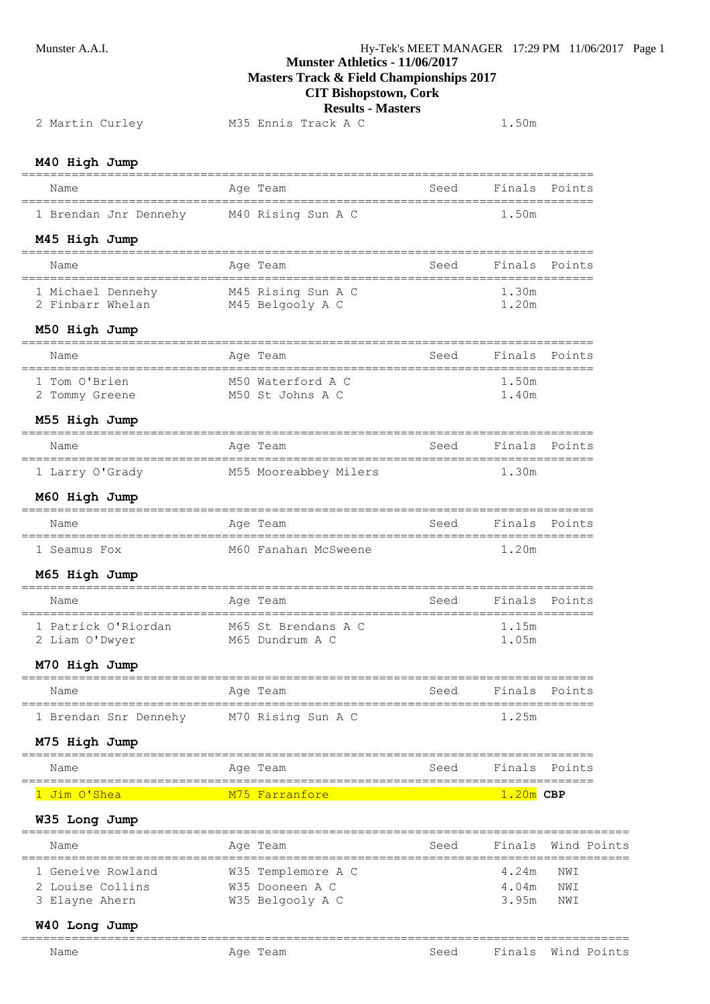**Masters Track & Field Championships 2017**

**CIT Bishopstown, Cork**

|                                                                                  | CIT DISHOPStOWII, COLA<br><b>Results - Masters</b>               |      |                                     |                 |
|----------------------------------------------------------------------------------|------------------------------------------------------------------|------|-------------------------------------|-----------------|
| 2 Martin Curley                                                                  | M35 Ennis Track A C                                              |      | 1.50m                               |                 |
| M40 High Jump                                                                    |                                                                  |      |                                     |                 |
| Name                                                                             | Age Team                                                         | Seed |                                     | Finals Points   |
| ====================================<br>1 Brendan Jnr Dennehy M40 Rising Sun A C |                                                                  |      | 1.50m                               |                 |
| M45 High Jump                                                                    |                                                                  |      |                                     |                 |
| Name                                                                             | Age Team                                                         | Seed |                                     | Finals Points   |
| 1 Michael Dennehy M45 Rising Sun A C<br>2 Finbarr Whelan M45 Belgooly A C        |                                                                  |      | 1.30m<br>1.20m                      |                 |
| M50 High Jump                                                                    |                                                                  |      |                                     |                 |
| Name<br>========================                                                 | Age Team                                                         | Seed |                                     | Finals Points   |
| 1 Tom O'Brien<br>2 Tommy Greene                                                  | M50 Waterford A C<br>M50 St Johns A C                            |      | 1.50m<br>1.40m                      |                 |
| M55 High Jump                                                                    |                                                                  |      |                                     |                 |
| Name                                                                             | Age Team                                                         | Seed |                                     | Finals Points   |
|                                                                                  | 1 Larry O'Grady M55 Mooreabbey Milers                            |      | 1.30m                               |                 |
| M60 High Jump                                                                    |                                                                  |      |                                     |                 |
| Name                                                                             | Age Team                                                         | Seed |                                     | Finals Points   |
| 1 Seamus Fox                                                                     | M60 Fanahan McSweene                                             |      | 1.20m                               |                 |
| M65 High Jump                                                                    |                                                                  |      |                                     |                 |
| Name                                                                             | Age Team                                                         | Seed | Finals                              | Points          |
| 2 Liam O'Dwyer                                                                   | 1 Patrick O'Riordan M65 St Brendans A C 1.15m<br>M65 Dundrum A C |      | 1.05m                               |                 |
| M70 High Jump                                                                    |                                                                  |      |                                     |                 |
| Name                                                                             | Age Team                                                         | seed | Finals                              | Points          |
| 1 Brendan Snr Dennehy                                                            | M70 Rising Sun A C                                               |      | 1.25m                               | _______________ |
| M75 High Jump                                                                    |                                                                  |      |                                     |                 |
| ========<br>Name                                                                 | Age Team                                                         | Seed |                                     | Finals Points   |
| =====================================<br>1 Jim O'Shea                            | M75 Farranfore                                                   |      | ====================<br>$1.20m$ CBP |                 |
|                                                                                  |                                                                  |      |                                     |                 |
| W35 Long Jump                                                                    |                                                                  |      |                                     | Wind Points     |
| Name                                                                             | Age Team                                                         | Seed | Finals                              |                 |
| 1 Geneive Rowland<br>2 Louise Collins                                            | W35 Templemore A C<br>W35 Dooneen A C                            |      | 4.24m<br>4.04m                      | NWI<br>NWI      |
| 3 Elayne Ahern                                                                   | W35 Belgooly A C                                                 |      | 3.95m                               | NWI             |

#### **W40 Long Jump** =====================================================================================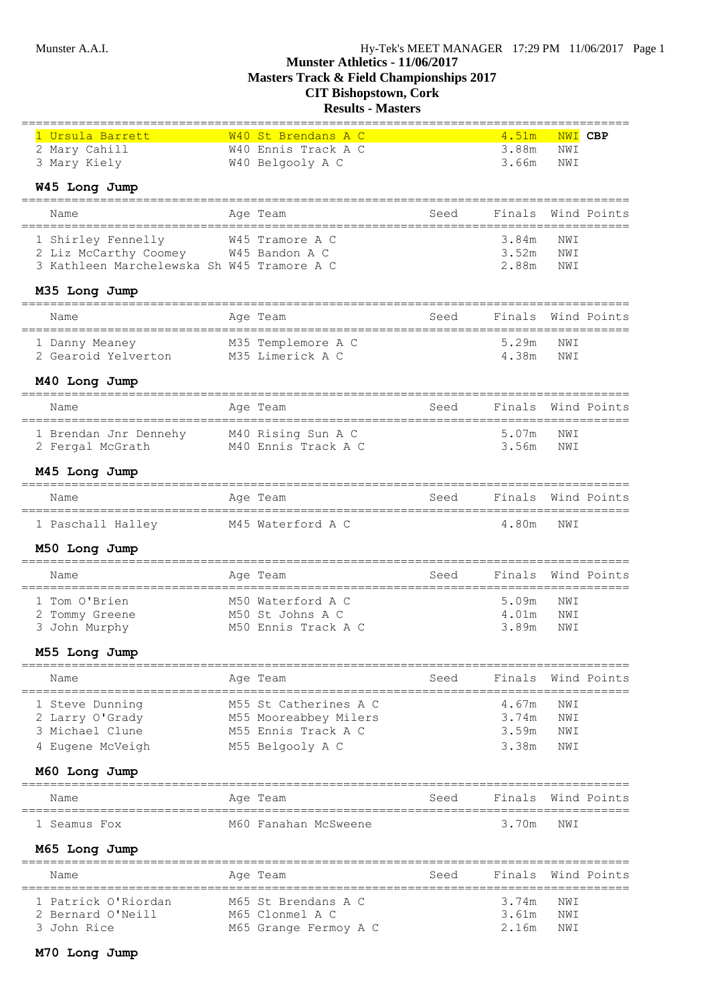# **Results - Masters**

| 1 Ursula Barrett                              |            | W40 St Brendans A C   |      | 4.51m                                      | NWI CBP |             |
|-----------------------------------------------|------------|-----------------------|------|--------------------------------------------|---------|-------------|
| 2 Mary Cahill                                 |            | W40 Ennis Track A C   |      | 3.88m                                      | NWI     |             |
| 3 Mary Kiely                                  |            | W40 Belgooly A C      |      | 3.66m                                      | NWI     |             |
| W45 Long Jump                                 |            |                       |      |                                            |         |             |
| ======================<br>Name                |            | Age Team              | Seed | Finals                                     |         | Wind Points |
| 1 Shirley Fennelly                            |            | W45 Tramore A C       |      | 3.84m                                      | NWI     |             |
| 2 Liz McCarthy Coomey W45 Bandon A C          |            |                       |      | 3.52m                                      | NWI     |             |
| 3 Kathleen Marchelewska Sh W45 Tramore A C    |            |                       |      | 2.88m                                      | NWI     |             |
| M35 Long Jump                                 |            |                       |      |                                            |         |             |
| Name                                          |            | Age Team              | Seed | Finals                                     |         | Wind Points |
| 1 Danny Meaney                                |            | M35 Templemore A C    |      | 5.29m                                      | NWI     |             |
| 2 Gearoid Yelverton M35 Limerick A C          |            |                       |      | 4.38m                                      | NWI     |             |
| M40 Long Jump                                 |            |                       |      |                                            |         |             |
| Name                                          |            | Age Team              | Seed | Finals                                     |         | Wind Points |
| 1 Brendan Jnr Dennehy                         |            | M40 Rising Sun A C    |      | 5.07m                                      | NWI     |             |
| 2 Fergal McGrath                              |            | M40 Ennis Track A C   |      | 3.56m                                      | NWI     |             |
|                                               |            |                       |      |                                            |         |             |
| M45 Long Jump                                 |            |                       |      |                                            |         |             |
| Name<br>===================================== |            | Age Team              | Seed | Finals                                     |         | Wind Points |
| 1 Paschall Halley                             |            | M45 Waterford A C     |      | 4.80m                                      | NWI     |             |
| M50 Long Jump                                 |            |                       |      |                                            |         |             |
| Name<br>------------------                    |            | Age Team              | Seed | Finals<br>================================ |         | Wind Points |
| 1 Tom O'Brien                                 |            | M50 Waterford A C     |      | 5.09m                                      | NWI     |             |
| Tommy Greene                                  |            | M50 St Johns A C      |      | 4.01m                                      | NWI     |             |
| 3 John Murphy                                 |            | M50 Ennis Track A C   |      | 3.89m                                      | NWI     |             |
| M55 Long Jump                                 |            |                       |      |                                            |         |             |
| Name<br>==============                        | __________ | Age Team              | Seed | Finals<br>__________________________       |         | Wind Points |
| 1 Steve Dunning                               |            | M55 St Catherines A C |      | 4.67m                                      | NWI     |             |
| 2 Larry O'Grady                               |            | M55 Mooreabbey Milers |      | 3.74m                                      | NWI     |             |
| 3 Michael Clune                               |            | M55 Ennis Track A C   |      | 3.59m                                      | NWI     |             |
| 4 Eugene McVeigh                              |            | M55 Belgooly A C      |      | 3.38m                                      | NWI     |             |
| M60 Long Jump                                 |            |                       |      |                                            |         |             |
| Name                                          |            | Age Team              | Seed | Finals                                     |         | Wind Points |
| 1 Seamus Fox                                  |            | M60 Fanahan McSweene  |      | 3.70m                                      | NWI     |             |
| M65 Long Jump<br>=================            |            |                       |      |                                            |         |             |
| Name                                          |            | Age Team              | Seed | Finals                                     |         | Wind Points |
| 1 Patrick O'Riordan                           |            | M65 St Brendans A C   |      | 3.74m                                      | NWI     |             |
| 2 Bernard O'Neill                             |            | M65 Clonmel A C       |      | 3.61m                                      | NWI     |             |
| 3 John Rice                                   |            | M65 Grange Fermoy A C |      | 2.16m                                      | NWI     |             |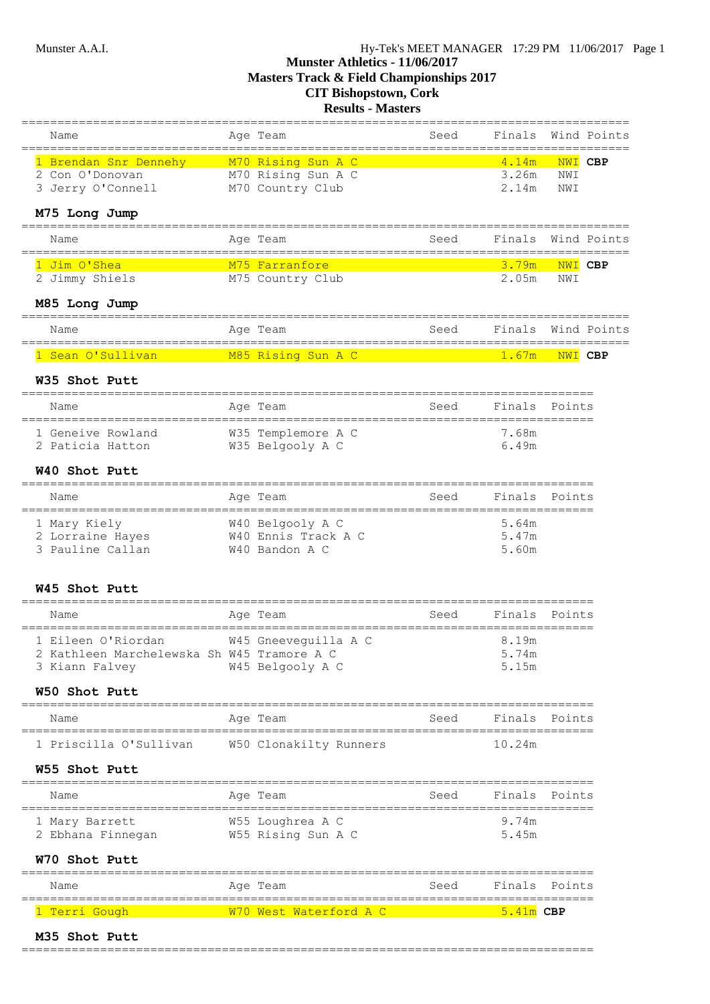**Masters Track & Field Championships 2017**

# **CIT Bishopstown, Cork**

**Results - Masters**

| M35 Shot Putt                                                                             |                                          |                                        |                            |                |  |
|-------------------------------------------------------------------------------------------|------------------------------------------|----------------------------------------|----------------------------|----------------|--|
| 1 Terri Gough                                                                             | W70 West Waterford A C                   |                                        | $5.41m$ CBP                |                |  |
| Name                                                                                      | Age Team                                 | Seed                                   | Finals<br>================ | Points         |  |
| W70 Shot Putt                                                                             |                                          |                                        |                            |                |  |
| 1 Mary Barrett<br>2 Ebhana Finnegan M55 Rising Sun A C                                    | W55 Loughrea A C                         |                                        | 9.74m<br>5.45m             |                |  |
| Name                                                                                      | Age Team                                 | Seed                                   | Finals Points              |                |  |
| W55 Shot Putt<br>======================                                                   |                                          |                                        |                            |                |  |
| 1 Priscilla O'Sullivan                                                                    | W50 Clonakilty Runners                   |                                        | 10.24m                     |                |  |
| Name                                                                                      | Age Team                                 | =====================<br>Seed          | Finals Points              |                |  |
| W50 Shot Putt                                                                             |                                          |                                        |                            |                |  |
| 1 Eileen O'Riordan<br>2 Kathleen Marchelewska Sh W45 Tramore A C<br>3 Kiann Falvey        | W45 Gneeveguilla A C<br>W45 Belgooly A C |                                        | 8.19m<br>5.74m<br>5.15m    |                |  |
| Name                                                                                      | Age Team                                 | Seed                                   | Finals                     | Points         |  |
| W45 Shot Putt                                                                             |                                          |                                        |                            |                |  |
| 3 Pauline Callan                                                                          | W40 Bandon A C                           |                                        | 5.60m                      |                |  |
| 1 Mary Kiely<br>2 Lorraine Hayes W40 Ennis Track A C                                      | W40 Belgooly A C                         |                                        | 5.64m<br>5.47m             |                |  |
| Name                                                                                      | Age Team                                 | Seed                                   | Finals                     | Points         |  |
| W40 Shot Putt                                                                             |                                          |                                        |                            |                |  |
| 1 Geneive Rowland<br>2 Paticia Hatton                                                     | W35 Templemore A C<br>W35 Belgooly A C   |                                        | 7.68m<br>6.49m             |                |  |
| Name                                                                                      | Age Team                                 | Seed<br>=======================        | Finals Points              |                |  |
| W35 Shot Putt                                                                             |                                          | ______________________________________ |                            |                |  |
|                                                                                           |                                          |                                        | 1.67m                      | NWI CBP        |  |
| Name                                                                                      | Age Team                                 | Seed                                   | Finals                     | Wind Points    |  |
| M85 Long Jump                                                                             |                                          |                                        |                            |                |  |
| 2 Jimmy Shiels M75 Country Club                                                           |                                          |                                        | 3.79m<br>2.05m             | NWI CBP<br>NWI |  |
| Name<br>===================================<br>M <sub>75</sub> Farranfore<br>1 Jim O'Shea | Age Team                                 | Seed                                   | Finals                     | Wind Points    |  |
| M75 Long Jump                                                                             |                                          |                                        |                            |                |  |
| 3 Jerry O'Connell                                                                         | M70 Country Club                         |                                        | 2.14m                      | NWI            |  |
| 1 Brendan Snr Dennehy M70 Rising Sun A C<br>2 Con O'Donovan                               | M70 Rising Sun A C                       |                                        | 4.14m<br>3.26m             | NWI CBP<br>NWI |  |
| Name                                                                                      | Age Team                                 | Seed                                   | Finals                     | Wind Points    |  |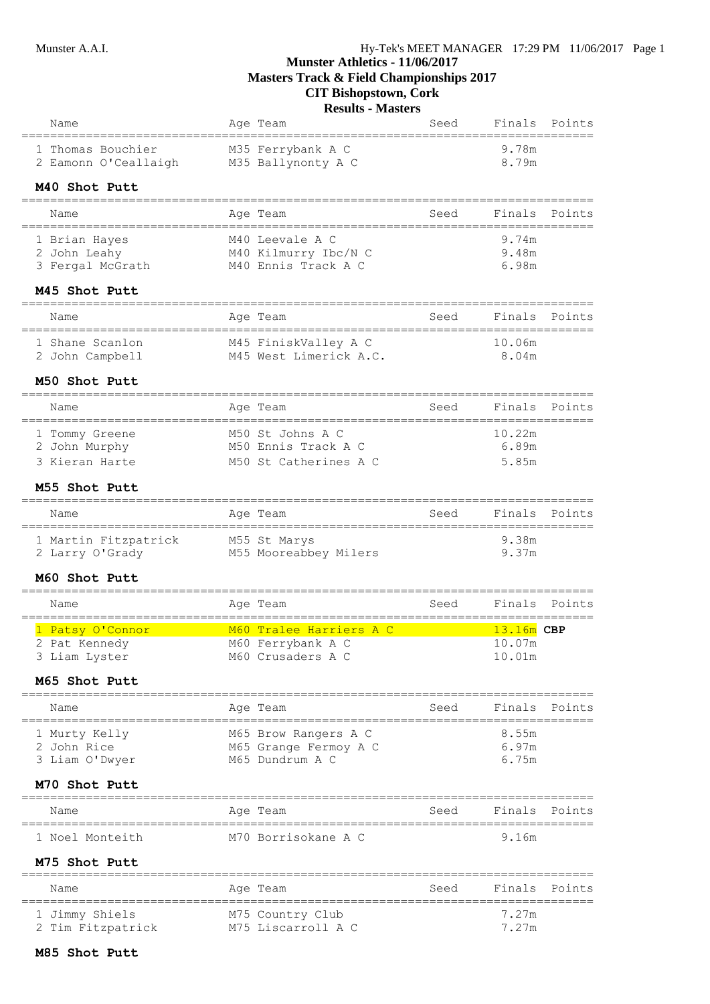| Name                                                                   | Age Team     | ==================================                                | Seed                             | Finals                           | Points        |
|------------------------------------------------------------------------|--------------|-------------------------------------------------------------------|----------------------------------|----------------------------------|---------------|
| 1 Thomas Bouchier<br>2 Eamonn O'Ceallaigh                              |              | M35 Ferrybank A C<br>M35 Ballynonty A C                           |                                  | 9.78m<br>8.79m                   |               |
| M40 Shot Putt                                                          |              |                                                                   |                                  |                                  |               |
| Name                                                                   | Age Team     |                                                                   | Seed                             | Finals                           | Points        |
| =================<br>1 Brian Hayes<br>2 John Leahy<br>3 Fergal McGrath |              | M40 Leevale A C<br>M40 Kilmurry Ibc/N C<br>M40 Ennis Track A C    |                                  | 9.74m<br>9.48m<br>6.98m          |               |
| M45 Shot Putt                                                          |              |                                                                   |                                  |                                  |               |
| Name                                                                   | Age Team     |                                                                   | Seed                             | Finals                           | Points        |
| 1 Shane Scanlon<br>2 John Campbell                                     |              | M45 FiniskValley A C<br>M45 West Limerick A.C.                    |                                  | 10.06m<br>8.04m                  |               |
| M50 Shot Putt<br>=================                                     |              |                                                                   |                                  |                                  |               |
| Name<br>==============<br>___________________                          | Age Team     |                                                                   | Seed<br>======================== | Finals                           | Points        |
| 1 Tommy Greene<br>2 John Murphy<br>3 Kieran Harte                      |              | M50 St Johns A C<br>M50 Ennis Track A C<br>M50 St Catherines A C  |                                  | 10.22m<br>6.89m<br>5.85m         |               |
| M55 Shot Putt                                                          |              |                                                                   |                                  |                                  |               |
| Name                                                                   | Age Team     |                                                                   | Seed                             | Finals                           | Points        |
| 1 Martin Fitzpatrick<br>2 Larry O'Grady                                | M55 St Marys | M55 Mooreabbey Milers                                             |                                  | 9.38m<br>9.37m                   |               |
| M60 Shot Putt<br>==================                                    |              |                                                                   |                                  |                                  |               |
| Name                                                                   | Age Team     |                                                                   | Seed                             | Finals                           | Points        |
| 1 Patsy O'Connor<br>2 Pat Kennedy<br>3 Liam Lyster<br>M65 Shot Putt    |              | M60 Tralee Harriers A C<br>M60 Ferrybank A C<br>M60 Crusaders A C |                                  | $13.16m$ CBP<br>10.07m<br>10.01m |               |
| =======================<br>Name                                        | Age Team     |                                                                   | Seed                             | Finals                           | Points        |
| ================<br>1 Murty Kelly<br>2 John Rice<br>3 Liam O'Dwyer     |              | M65 Brow Rangers A C<br>M65 Grange Fermoy A C<br>M65 Dundrum A C  |                                  | 8.55m<br>6.97m<br>6.75m          |               |
| M70 Shot Putt<br>===========                                           |              |                                                                   |                                  |                                  |               |
| Name                                                                   | Age Team     |                                                                   | Seed                             |                                  | Finals Points |
| 1 Noel Monteith                                                        |              | M70 Borrisokane A C                                               |                                  | 9.16m                            |               |
| M75 Shot Putt                                                          |              |                                                                   |                                  |                                  |               |
| Name                                                                   | Age Team     |                                                                   | Seed                             | Finals                           | Points        |
| 1 Jimmy Shiels<br>2 Tim Fitzpatrick                                    |              | M75 Country Club<br>M75 Liscarroll A C                            |                                  | 7.27m<br>7.27m                   |               |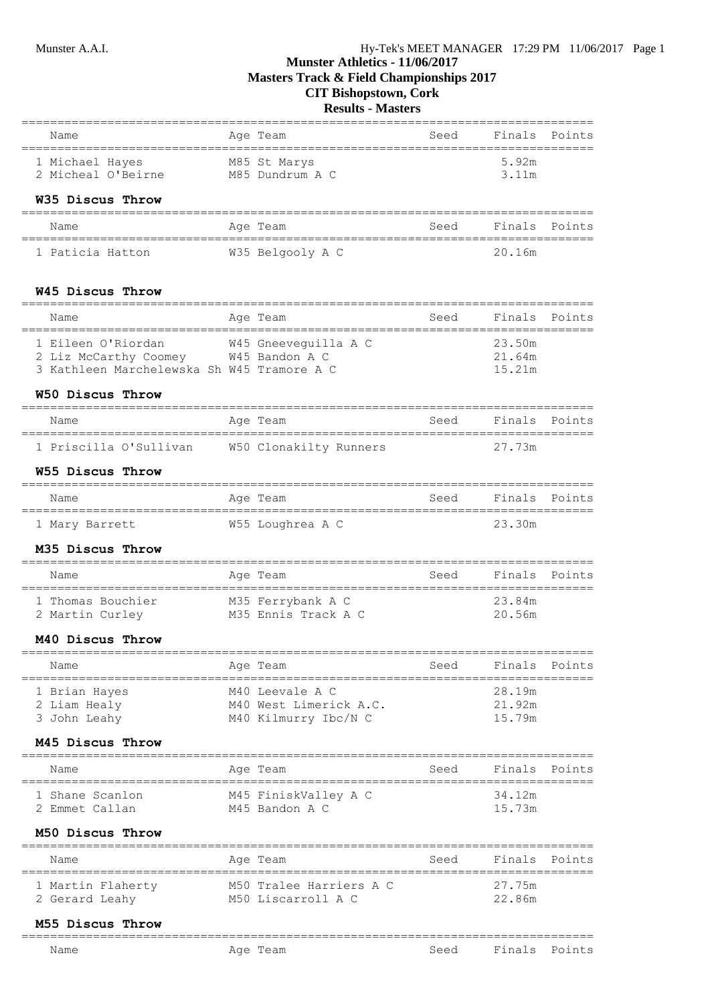# **Munster Athletics - 11/06/2017 Masters Track & Field Championships 2017**

**CIT Bishopstown, Cork**

# **Results - Masters**

| Name<br>:===================================                                                             | Age Team                                                                                                                           | Seed       | Finals                     | Points        |
|----------------------------------------------------------------------------------------------------------|------------------------------------------------------------------------------------------------------------------------------------|------------|----------------------------|---------------|
| M85 St Marys<br>1 Michael Hayes<br>2 Micheal O'Beirne M85 Dundrum A C                                    |                                                                                                                                    |            | 5.92m<br>3.11m             |               |
| W35 Discus Throw                                                                                         |                                                                                                                                    |            |                            |               |
| Name                                                                                                     | Age Team                                                                                                                           | Seed       | Finals                     | Points        |
| 1 Paticia Hatton                                                                                         | W35 Belgooly A C                                                                                                                   |            | 20.16m                     |               |
| W45 Discus Throw                                                                                         |                                                                                                                                    |            |                            |               |
| Name                                                                                                     | Aqe Team                                                                                                                           | Seed       | Finals                     | Points        |
| 1 Eileen O'Riordan<br>2 Liz McCarthy Coomey W45 Bandon A C<br>3 Kathleen Marchelewska Sh W45 Tramore A C | W45 Gneeveguilla A C                                                                                                               |            | 23.50m<br>21.64m<br>15.21m |               |
| W50 Discus Throw                                                                                         |                                                                                                                                    |            |                            |               |
| Name                                                                                                     | Age Team                                                                                                                           | Seed       | Finals                     | Points        |
| ===============<br>:===========<br>1 Priscilla O'Sullivan                                                | ----------------<br>W50 Clonakilty Runners                                                                                         | ========== | 27.73m                     |               |
| W55 Discus Throw                                                                                         |                                                                                                                                    |            |                            |               |
| Name                                                                                                     | Age Team                                                                                                                           | Seed       | Finals Points              |               |
| 1 Mary Barrett                                                                                           | W55 Loughrea A C                                                                                                                   |            | 23.30m                     |               |
| M35 Discus Throw                                                                                         |                                                                                                                                    |            |                            |               |
| --------------------<br>Name                                                                             | Age Team                                                                                                                           | Seed       | Finals                     | Points        |
| 1 Thomas Bouchier<br>2 Martin Curley                                                                     | M35 Ferrybank A C<br>M35 Ennis Track A C                                                                                           |            | 23.84m<br>20.56m           |               |
| M40 Discus Throw                                                                                         |                                                                                                                                    |            |                            |               |
| Name                                                                                                     | Age Team                                                                                                                           | Seed       | Finals                     | Points        |
| ============<br>1 Brian Hayes<br>2 Liam Healy<br>3 John Leahy                                            | ;===================<br>=====================================<br>M40 Leevale A C<br>M40 West Limerick A.C.<br>M40 Kilmurry Ibc/N C |            | 28.19m<br>21.92m<br>15.79m |               |
| M45 Discus Throw                                                                                         |                                                                                                                                    |            |                            |               |
| Name                                                                                                     | Aqe Team                                                                                                                           | Seed       | Finals                     | Points        |
| 1 Shane Scanlon<br>2 Emmet Callan                                                                        | ====================================<br>M45 FiniskValley A C<br>M45 Bandon A C                                                     |            | 34.12m<br>15.73m           |               |
| M50 Discus Throw                                                                                         |                                                                                                                                    |            |                            |               |
| Name                                                                                                     | Age Team                                                                                                                           | Seed       | Finals                     | Points        |
| 1 Martin Flaherty<br>2 Gerard Leahy                                                                      | M50 Tralee Harriers A C<br>M50 Liscarroll A C                                                                                      |            | 27.75m<br>22.86m           |               |
| M55 Discus Throw<br>-----------                                                                          |                                                                                                                                    |            |                            |               |
| Name                                                                                                     | Age Team                                                                                                                           | Seed       |                            | Finals Points |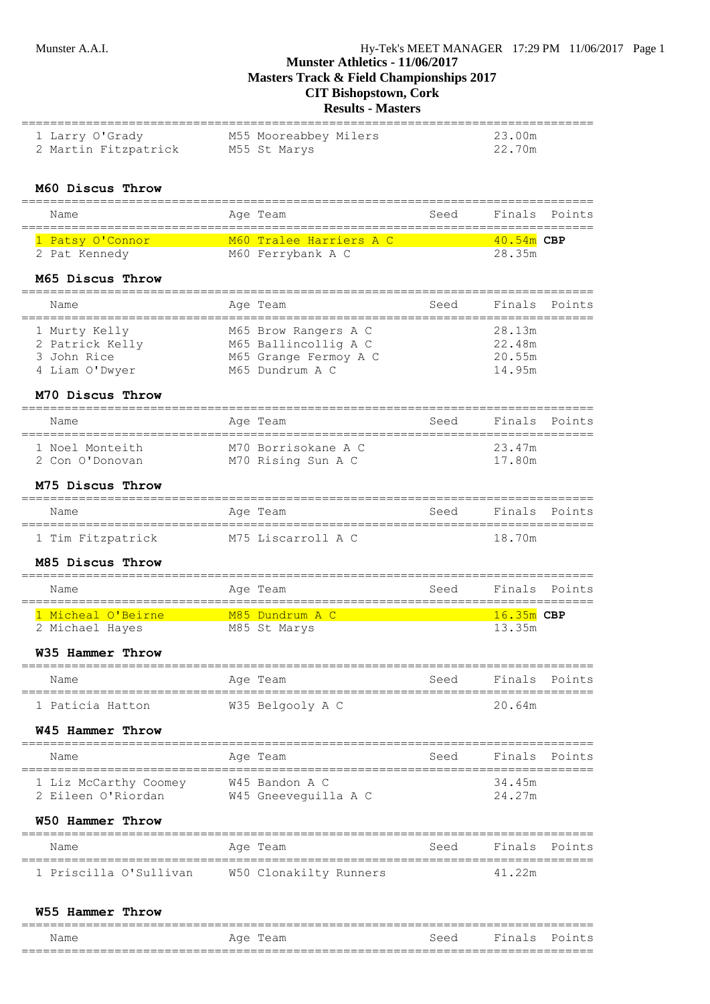**Masters Track & Field Championships 2017**

# **CIT Bishopstown, Cork**

**Results - Masters**

| 1 Larry O'Grady<br>2 Martin Fitzpatrick       | M55 Mooreabbey Milers<br>M55 St Marys         |      | 23.00m<br>22.70m |               |
|-----------------------------------------------|-----------------------------------------------|------|------------------|---------------|
| M60 Discus Throw<br>===================       |                                               |      |                  |               |
| Name                                          | Age Team                                      | Seed | Finals           | Points        |
| 1 Patsy O'Connor                              | M60 Tralee Harriers A C                       |      | 40.54m CBP       |               |
| 2 Pat Kennedy                                 | M60 Ferrybank A C                             |      | 28.35m           |               |
| M65 Discus Throw                              |                                               |      |                  |               |
| Name                                          | Aqe Team                                      | Seed | Finals           | Points        |
| 1 Murty Kelly                                 | M65 Brow Rangers A C                          |      | 28.13m           |               |
| 2 Patrick Kelly<br>3 John Rice                | M65 Ballincollig A C<br>M65 Grange Fermoy A C |      | 22.48m<br>20.55m |               |
| 4 Liam O'Dwyer                                | M65 Dundrum A C                               |      | 14.95m           |               |
| M70 Discus Throw                              |                                               |      |                  |               |
| Name                                          | Aqe Team                                      | Seed | Finals           | Points        |
| 1 Noel Monteith                               | M70 Borrisokane A C                           |      | 23.47m           |               |
| 2 Con O'Donovan                               | M70 Rising Sun A C                            |      | 17.80m           |               |
| M75 Discus Throw<br>========================= |                                               |      |                  |               |
| Name<br>===================================   | Age Team                                      | Seed | Finals           | Points        |
| 1 Tim Fitzpatrick                             | M75 Liscarroll A C                            |      | 18.70m           |               |
| M85 Discus Throw                              |                                               |      |                  |               |
| Name                                          | Age Team                                      | Seed | Finals           | Points        |
| 1 Micheal O'Beirne                            | M85 Dundrum A C                               |      | $16.35m$ CBP     |               |
| 2 Michael Hayes                               | M85 St Marys                                  |      | 13.35m           |               |
| W35 Hammer Throw                              |                                               |      |                  |               |
| Name                                          | Age Team                                      | Seed |                  | Finals Points |
| 1 Paticia Hatton                              | W35 Belgooly A C                              |      | 20.64m           |               |
| W45 Hammer Throw                              |                                               |      |                  |               |
| =============================<br>Name         | Aqe Team<br>==========                        | Seed | Finals           | Points        |
| 1 Liz McCarthy Coomey                         | W45 Bandon A C                                |      | 34.45m           |               |
| 2 Eileen O'Riordan                            | W45 Gneeveguilla A C                          |      | 24.27m           |               |
| W50 Hammer Throw                              |                                               |      |                  |               |
| Name                                          | Age Team                                      | Seed | Finals           | Points        |
| 1 Priscilla O'Sullivan                        | W50 Clonakilty Runners                        |      | 41.22m           |               |
|                                               |                                               |      |                  |               |

### **W55 Hammer Throw**

| Name | $\pi \sim$<br>؎<br>TAUII<br>$\check{}$ | 3444 | Final<br>$\epsilon$ | $D \cap i \cap$ |
|------|----------------------------------------|------|---------------------|-----------------|
|      | ---------------------------------      |      |                     | ____________    |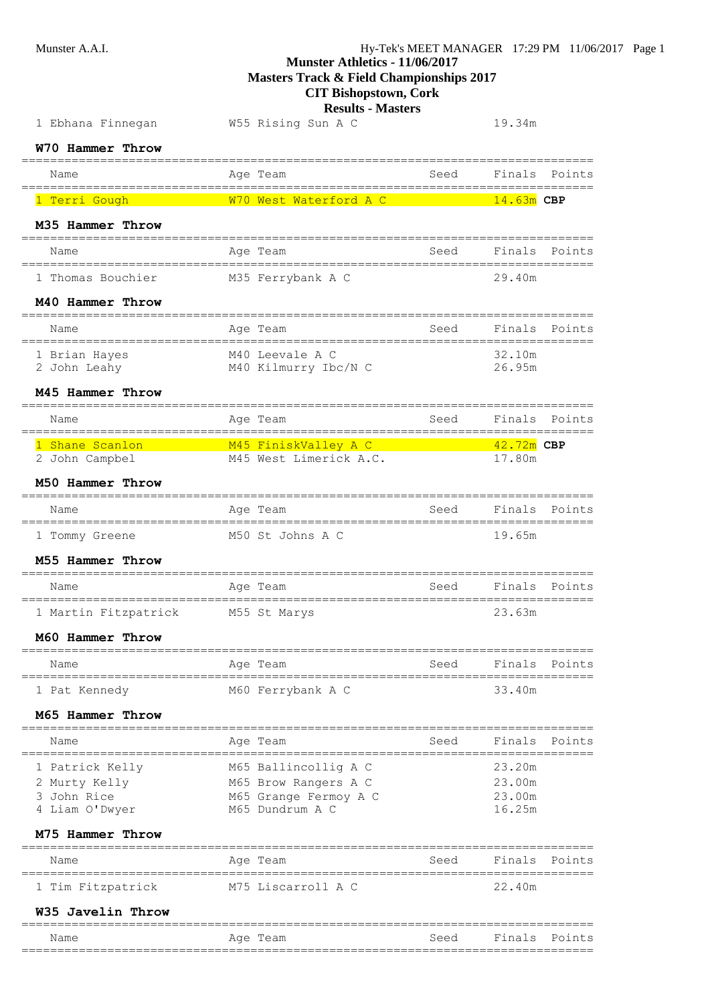**Masters Track & Field Championships 2017**

# **CIT Bishopstown, Cork**

### **Results - Masters**

| 1 Ebhana Finnegan                    | W55 Rising Sun A C                       |      | 19.34m                                                                                                                                                                                                                               |
|--------------------------------------|------------------------------------------|------|--------------------------------------------------------------------------------------------------------------------------------------------------------------------------------------------------------------------------------------|
| W70 Hammer Throw                     |                                          |      |                                                                                                                                                                                                                                      |
| Name                                 | Age Team                                 | Seed | Finals Points                                                                                                                                                                                                                        |
| 1 Terri Gough                        | W70 West Waterford A C                   |      | $14.63m$ CBP                                                                                                                                                                                                                         |
| M35 Hammer Throw                     |                                          |      |                                                                                                                                                                                                                                      |
| Name                                 | Age Team                                 | Seed | Finals<br>Points                                                                                                                                                                                                                     |
| 1 Thomas Bouchier                    | M35 Ferrybank A C                        |      | 29.40m                                                                                                                                                                                                                               |
| M40 Hammer Throw                     |                                          |      |                                                                                                                                                                                                                                      |
| Name                                 | Age Team                                 | Seed | Finals<br>Points<br>-==================================                                                                                                                                                                              |
| 1 Brian Hayes<br>2 John Leahy        | M40 Leevale A C<br>M40 Kilmurry Ibc/N C  |      | 32.10m<br>26.95m                                                                                                                                                                                                                     |
| M45 Hammer Throw                     |                                          |      |                                                                                                                                                                                                                                      |
| Name                                 | Age Team                                 | Seed | Finals Points                                                                                                                                                                                                                        |
|                                      | 1 Shane Scanlon M45 FiniskValley A C     |      | <u> 12.72m CBP (1999) – 42.72m CBP (1999) – 42.72m CBP (1999) – 42.72m CBP (1999) – 42.72m CBP (1999) – 42.72m CBP (1999) – 43.72m CBP (1999) – 43.72m CBP (1999) – 43.72m CBP (1999) – 43.72m CBP (1999) – 43.72m CBP (1999) – </u> |
| 2 John Campbel<br>M50 Hammer Throw   | M45 West Limerick A.C.                   |      | 17.80m                                                                                                                                                                                                                               |
| Name                                 | Age Team                                 | Seed | Finals<br>Points                                                                                                                                                                                                                     |
|                                      |                                          |      | 19.65m                                                                                                                                                                                                                               |
| 1 Tommy Greene<br>M55 Hammer Throw   | M50 St Johns A C                         |      |                                                                                                                                                                                                                                      |
|                                      |                                          |      |                                                                                                                                                                                                                                      |
| Name                                 | Age Team<br>.============                | Seed | Finals<br>Points<br>=============                                                                                                                                                                                                    |
| 1 Martin Fitzpatrick M55 St Marys    |                                          |      | 23.63m                                                                                                                                                                                                                               |
| M60 Hammer Throw                     |                                          |      |                                                                                                                                                                                                                                      |
| Name<br>-------------                | Age Team<br>---------------------------  | Seed | Finals<br>Points<br>======                                                                                                                                                                                                           |
| 1 Pat Kennedy                        | M60 Ferrybank A C                        |      | 33.40m                                                                                                                                                                                                                               |
| M65 Hammer Throw                     |                                          |      |                                                                                                                                                                                                                                      |
| Name                                 | Age Team                                 | Seed | Finals<br>Points                                                                                                                                                                                                                     |
| 1 Patrick Kelly                      | M65 Ballincollig A C                     |      | 23.20m                                                                                                                                                                                                                               |
| 2 Murty Kelly<br>3 John Rice         | M65 Brow Rangers A C                     |      | 23.00m<br>23.00m                                                                                                                                                                                                                     |
| 4 Liam O'Dwyer                       | M65 Grange Fermoy A C<br>M65 Dundrum A C |      | 16.25m                                                                                                                                                                                                                               |
| M75 Hammer Throw                     |                                          |      |                                                                                                                                                                                                                                      |
| --------------------<br>Name         | Age Team                                 | Seed | Finals<br>Points                                                                                                                                                                                                                     |
| ===============<br>1 Tim Fitzpatrick | M75 Liscarroll A C                       |      | 22.40m                                                                                                                                                                                                                               |
| W35 Javelin Throw                    |                                          |      |                                                                                                                                                                                                                                      |
|                                      |                                          |      |                                                                                                                                                                                                                                      |

Name Register Age Team Name Seed Finals Points ================================================================================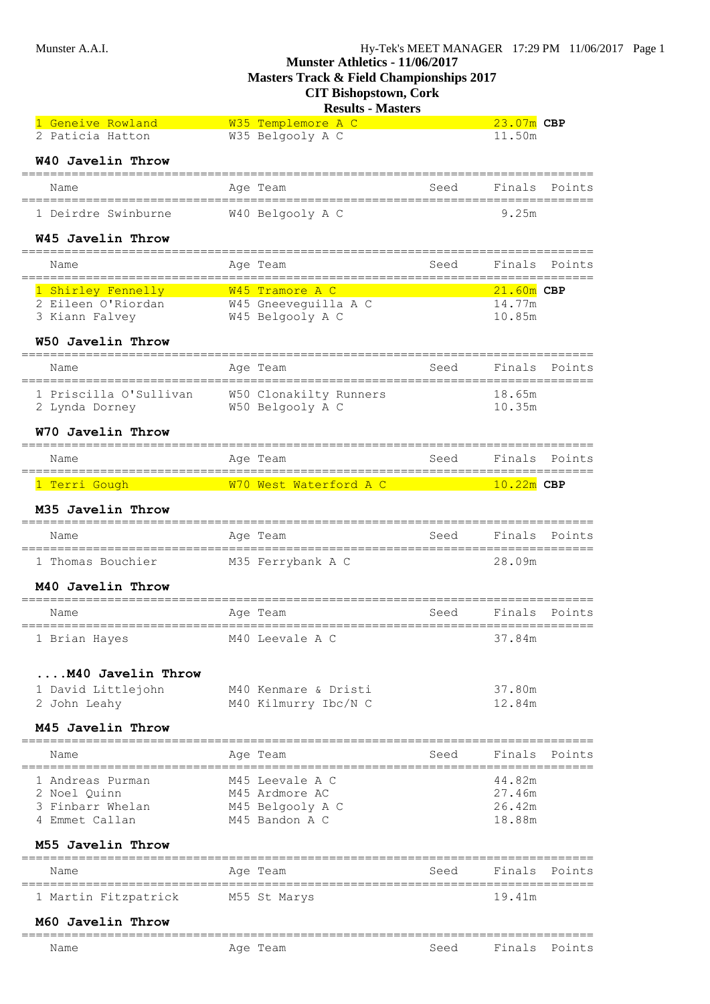**Masters Track & Field Championships 2017**

# **CIT Bishopstown, Cork**

# **Results - Masters**

| 1 Geneive Rowland                       |                 | W35 Templemore A C                  |      | $23.07m$ CBP |               |
|-----------------------------------------|-----------------|-------------------------------------|------|--------------|---------------|
| 2 Paticia Hatton                        |                 | W35 Belgooly A C                    |      | 11.50m       |               |
| W40 Javelin Throw                       |                 |                                     |      |              |               |
| Name                                    |                 | Age Team                            | Seed | Finals       | Points        |
| 1 Deirdre Swinburne                     |                 | W40 Belgooly A C                    |      | 9.25m        |               |
| W45 Javelin Throw                       |                 |                                     |      |              |               |
| ======================<br>Name          |                 | Age Team                            | Seed | Finals       | Points        |
| 1 Shirley Fennelly                      |                 | <b>Example 2018</b> WAS Tramore A C |      | $21.60m$ CBP |               |
| 2 Eileen O'Riordan                      |                 | W45 Gneeveguilla A C                |      | 14.77m       |               |
| 3 Kiann Falvey                          |                 | W45 Belgooly A C                    |      | 10.85m       |               |
| W50 Javelin Throw                       |                 |                                     |      |              |               |
| Name                                    |                 | Age Team                            | Seed | Finals       | Points        |
| 1 Priscilla O'Sullivan                  |                 | W50 Clonakilty Runners              |      | 18.65m       |               |
| 2 Lynda Dorney                          |                 | W50 Belgooly A C                    |      | 10.35m       |               |
| W70 Javelin Throw                       |                 |                                     |      |              |               |
| Name                                    |                 | Age Team                            | Seed |              | Finals Points |
| ======================<br>1 Terri Gough |                 | W70 West Waterford A C              |      | $10.22m$ CBP |               |
| M35 Javelin Throw                       |                 |                                     |      |              |               |
| =======================<br>Name         |                 | -------------<br>Age Team           | Seed | Finals       | Points        |
| 1 Thomas Bouchier                       |                 | M35 Ferrybank A C                   |      | 28.09m       |               |
| M40 Javelin Throw                       |                 |                                     |      |              |               |
| Name                                    |                 | Age Team                            | Seed | Finals       | Points        |
| ======================<br>1 Brian Hayes | =============== | M40 Leevale A C                     |      | 37.84m       |               |
| M40 Javelin Throw                       |                 |                                     |      |              |               |
| 1 David Littlejohn                      |                 | M40 Kenmare & Dristi                |      | 37.80m       |               |
| 2 John Leahy                            |                 | M40 Kilmurry Ibc/N C                |      | 12.84m       |               |
| M45 Javelin Throw                       |                 |                                     |      |              |               |
| Name                                    |                 | Age Team                            | Seed | Finals       | Points        |
| 1 Andreas Purman                        |                 | M45 Leevale A C                     |      | 44.82m       |               |
| 2 Noel Quinn                            |                 | M45 Ardmore AC                      |      | 27.46m       |               |
| 3 Finbarr Whelan                        |                 | M45 Belgooly A C                    |      | 26.42m       |               |
| 4 Emmet Callan                          |                 | M45 Bandon A C                      |      | 18.88m       |               |
| M55 Javelin Throw                       |                 |                                     |      |              |               |
| Name                                    |                 | Age Team                            | Seed | Finals       | Points        |
| 1 Martin Fitzpatrick                    |                 | M55 St Marys                        |      | 19.41m       |               |
| M60 Javelin Throw                       |                 |                                     |      |              |               |
| Name                                    |                 | Age Team                            | Seed | Finals       | Points        |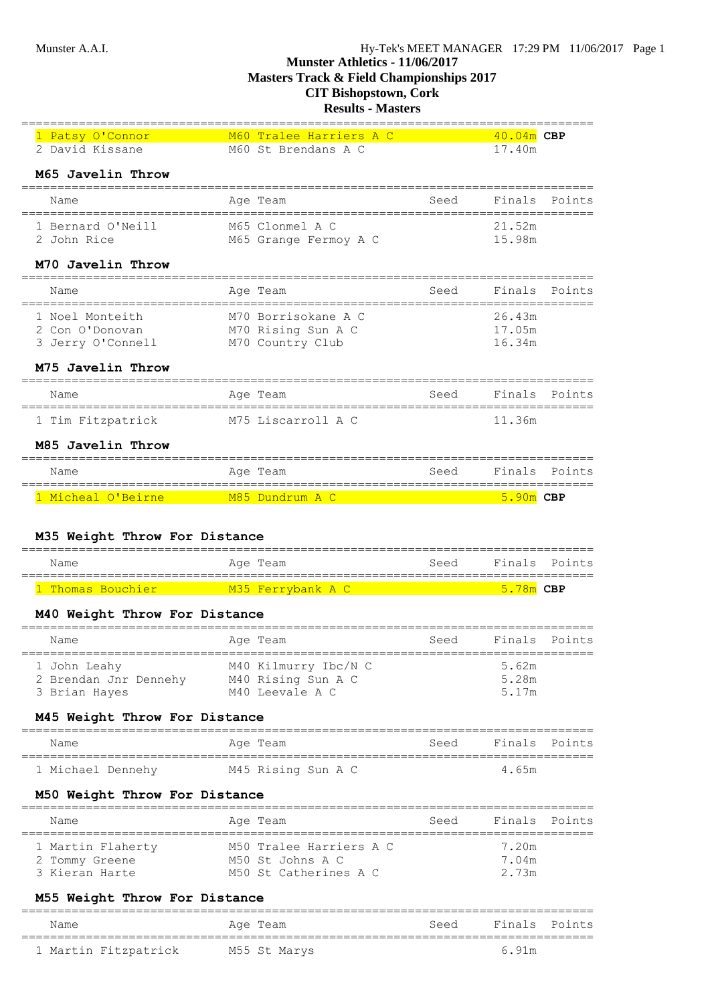| 1 Patsy O'Connor<br>2 David Kissane                     | M60 Tralee Harriers A C<br>M60 St Brendans A C                |      | 40.04m CBP<br>17.40m       |        |  |  |  |  |
|---------------------------------------------------------|---------------------------------------------------------------|------|----------------------------|--------|--|--|--|--|
| M65 Javelin Throw<br>==============================     |                                                               |      |                            |        |  |  |  |  |
| Name<br>======================================          | Age Team                                                      | Seed | Finals                     | Points |  |  |  |  |
| 1 Bernard O'Neill<br>2 John Rice                        | M65 Clonmel A C<br>M65 Grange Fermoy A C                      |      | 21.52m<br>15.98m           |        |  |  |  |  |
| M70 Javelin Throw<br>========================           |                                                               |      |                            |        |  |  |  |  |
| Name<br>==============                                  | Age Team                                                      | Seed | Finals                     | Points |  |  |  |  |
| 1 Noel Monteith<br>2 Con O'Donovan<br>3 Jerry O'Connell | M70 Borrisokane A C<br>M70 Rising Sun A C<br>M70 Country Club |      | 26.43m<br>17.05m<br>16.34m |        |  |  |  |  |
| M75 Javelin Throw<br>==============================     |                                                               |      |                            |        |  |  |  |  |
| Name                                                    | Age Team                                                      | Seed | Finals                     | Points |  |  |  |  |
| 1 Tim Fitzpatrick                                       | M75 Liscarroll A C                                            |      | 11.36m                     |        |  |  |  |  |
| M85 Javelin Throw                                       |                                                               |      |                            |        |  |  |  |  |
| Name                                                    | Age Team<br>============================                      | Seed | Finals                     | Points |  |  |  |  |
| 1 Micheal O'Beirne                                      | <b>Example 1985 Dundrum A C</b>                               |      | $5.90m$ CBP                |        |  |  |  |  |
| M35 Weight Throw For Distance                           |                                                               |      |                            |        |  |  |  |  |
| Name                                                    | Age Team                                                      | Seed | Finals                     | Points |  |  |  |  |
| 1 Thomas Bouchier M35 Ferrybank A C                     |                                                               |      | $5.78m$ CBP                |        |  |  |  |  |
| M40 Weight Throw For Distance                           |                                                               |      |                            |        |  |  |  |  |
| Name                                                    | Age Team                                                      | Seed | Finals                     | Points |  |  |  |  |
| 1 John Leahy                                            | M40 Kilmurry Ibc/N C                                          |      | 5.62m                      |        |  |  |  |  |

### **M45 Weight Throw For Distance**

| Name              | Age Team           | Seed | Finals Points |  |
|-------------------|--------------------|------|---------------|--|
| 1 Michael Dennehv | M45 Rising Sun A C |      | 4.65m         |  |

 2 Brendan Jnr Dennehy M40 Rising Sun A C 5.28m 3 Brian Hayes M40 Leevale A C 5.17m

### **M50 Weight Throw For Distance**

| Name                             | Age Team                                    | Seed | Finals Points  |
|----------------------------------|---------------------------------------------|------|----------------|
| 1 Martin Flaherty                | M50 Tralee Harriers A C<br>M50 St Johns A C |      | 7.20m<br>7.04m |
| 2 Tommy Greene<br>3 Kieran Harte | M50 St Catherines A C                       |      | 2 73m          |

### **M55 Weight Throw For Distance**

| Name                 | Age Team     | Seed | Finals Points |  |
|----------------------|--------------|------|---------------|--|
| 1 Martin Fitzpatrick | M55 St Marys |      | 691m          |  |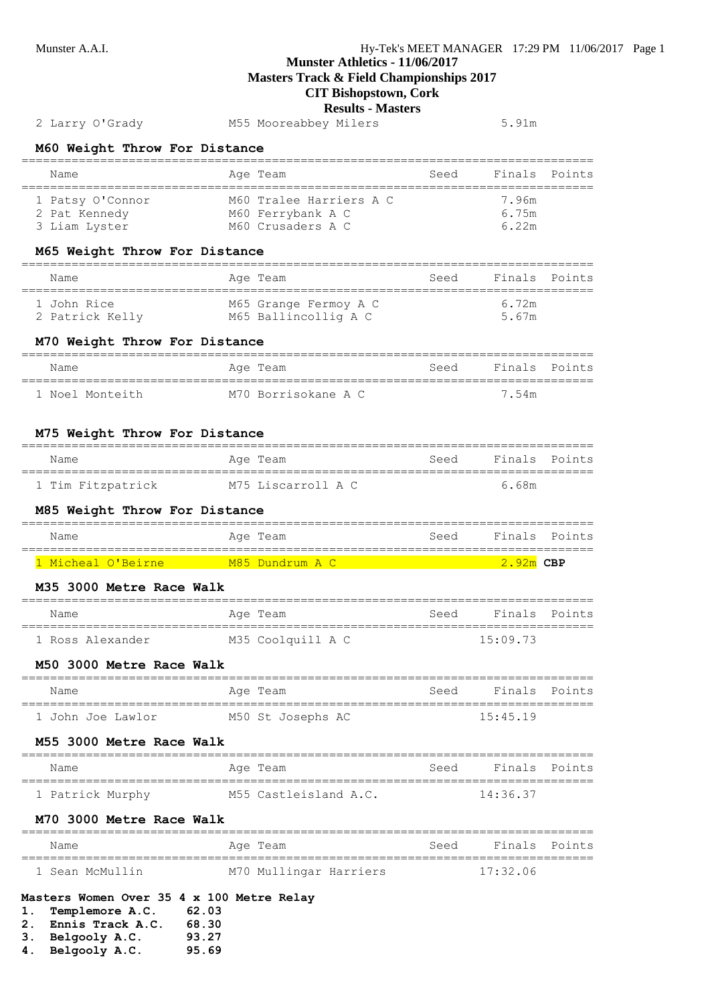**Masters Track & Field Championships 2017**

**CIT Bishopstown, Cork**

#### **Results - Masters**

## 2 Larry O'Grady M55 Mooreabbey Milers 5.91m

**M60 Weight Throw For Distance**

| Name                              | Age Team                                     | Seed | Finals Points  |  |
|-----------------------------------|----------------------------------------------|------|----------------|--|
| 1 Patsy O'Connor<br>2 Pat Kennedy | M60 Tralee Harriers A C<br>M60 Ferrybank A C |      | 7.96m<br>6.75m |  |
| 3 Liam Lyster                     | M60 Crusaders A C                            |      | 6 22m          |  |

#### **M65 Weight Throw For Distance**

| Name            | Age Team              | Seed | Finals Points |  |
|-----------------|-----------------------|------|---------------|--|
| 1 John Rice     | M65 Grange Fermoy A C |      | 6 72m         |  |
| 2 Patrick Kelly | M65 Ballincollig A C  |      | 5.67m         |  |

### **M70 Weight Throw For Distance**

| Name            | Age Team            | Seed | Finals Points |  |
|-----------------|---------------------|------|---------------|--|
| 1 Noel Monteith | M70 Borrisokane A C |      | 7.54m         |  |

#### **M75 Weight Throw For Distance**

| Name              | Age Team           | Seed | Finals Points |  |
|-------------------|--------------------|------|---------------|--|
| 1 Tim Fitzpatrick | M75 Liscarroll A C |      | 6.68m         |  |

#### **M85 Weight Throw For Distance**

| Name               | Age Team        | Seed | Finals Points |  |
|--------------------|-----------------|------|---------------|--|
| 1 Micheal O'Beirne | M85 Dundrum A C |      | 2.92m CBP     |  |

#### **M35 3000 Metre Race Walk**

| Name             | Age Team          | Seed | Finals Points |  |
|------------------|-------------------|------|---------------|--|
| 1 Ross Alexander | M35 Coolquill A C |      | 15:09.73      |  |

### **M50 3000 Metre Race Walk**

| Name              | Age Team          | Seed | - Finals - Points |  |
|-------------------|-------------------|------|-------------------|--|
| 1 John Joe Lawlor | M50 St Josephs AC |      | 15:45.19          |  |

### **M55 3000 Metre Race Walk**

| Name             | Aqe Team              | Seed | Finals Points |  |
|------------------|-----------------------|------|---------------|--|
| 1 Patrick Murphy | M55 Castleisland A.C. |      | 14:36.37      |  |

# **M70 3000 Metre Race Walk**

| Name |                 | Age Team               | Seed | Finals Points |  |
|------|-----------------|------------------------|------|---------------|--|
|      | 1 Sean McMullin | M70 Mullingar Harriers |      | 17:32.06      |  |

### **Masters Women Over 35 4 x 100 Metre Relay**

- **1. Templemore A.C. 62.03**
- **2. Ennis Track A.C. 68.30**
- **3. Belgooly A.C. 93.27**
- **4. Belgooly A.C. 95.69**